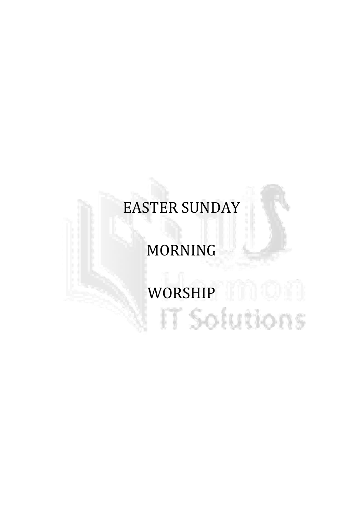# EASTER SUNDAY

# MORNING

# WORSHIP HILL IT Solutions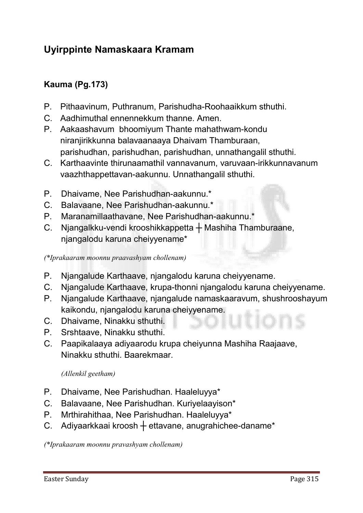# Uyirppinte Namaskaara Kramam

# Kauma (Pg.173)

- **P. Pithaavinum, Puthranum, Parishudha-Roohaaikkum sthuthi.**
- **C. Aadhimuthal ennennekkum thanne. Amen.**
- **P. Aakaashavum bhoomiyum Thante mahathwam-kondu niranjirikkunna balavaanaaya Dhaivam Thamburaan, parishudhan, parishudhan, parishudhan, unnathangalil sthuthi.**
- **C. Karthaavinte thirunaamathil vannavanum, varuvaan-irikkunnavanum vaazhthappettavan-aakunnu. Unnathangalil sthuthi.**
- **P. Dhaivame, Nee Parishudhan-aakunnu.\***
- **C. Balavaane, Nee Parishudhan-aakunnu.\***
- **P. Maranamillaathavane, Nee Parishudhan-aakunnu.\***
- **C. Njangalkku-vendi krooshikkappetta ┼ Mashiha Thamburaane, njangalodu karuna cheiyyename\***

*(\*Iprakaaram moonnu praavashyam chollenam)*

- **P. Njangalude Karthaave, njangalodu karuna cheiyyename.**
- **C. Njangalude Karthaave, krupa-thonni njangalodu karuna cheiyyename.**
- **P. Njangalude Karthaave, njangalude namaskaaravum, shushrooshayum kaikondu, njangalodu karuna cheiyyename.**
- **C. Dhaivame, Ninakku sthuthi.**
- **P. Srshtaave, Ninakku sthuthi.**
- **C. Paapikalaaya adiyaarodu krupa cheiyunna Mashiha Raajaave, Ninakku sthuthi. Baarekmaar.**

#### *(Allenkil geetham)*

- **P. Dhaivame, Nee Parishudhan. Haaleluyya\***
- **C. Balavaane, Nee Parishudhan. Kuriyelaayison\***
- **P. Mrthirahithaa, Nee Parishudhan. Haaleluyya\***
- **C. Adiyaarkkaai kroosh ┼ ettavane, anugrahichee-daname\***

*(\*Iprakaaram moonnu pravashyam chollenam)*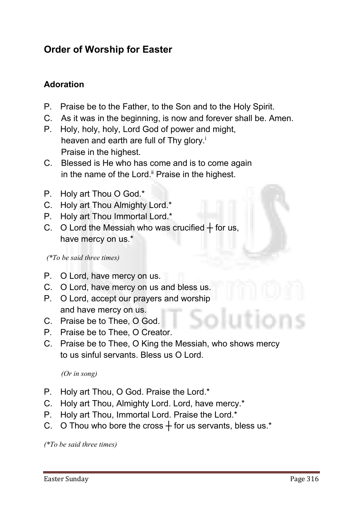# Order of Worship for Easter

# Adoration

- **P. Praise be to the Father, to the Son and to the Holy Spirit.**
- **C. As it was in the beginning, is now and forever shall be. Amen.**
- **P. Holy, holy, holy, Lord God of power and might, heaven and earth are full of Thy glory.i Praise in the highest.**
- **C. Blessed is He who has come and is to come again** in the name of the Lord.<sup>ii</sup> Praise in the highest.
- **P. Holy art Thou O God.\***
- **C. Holy art Thou Almighty Lord.\***
- **P. Holy art Thou Immortal Lord.\***
- **C. O Lord the Messiah who was crucified ┼ for us, have mercy on us.\***

 *(\*To be said three times)*

- **P. O Lord, have mercy on us.**
- **C. O Lord, have mercy on us and bless us.**
- **P. O Lord, accept our prayers and worship and have mercy on us.**
- **C. Praise be to Thee, O God.**
- **P. Praise be to Thee, O Creator.**
- **C. Praise be to Thee, O King the Messiah, who shows mercy to us sinful servants. Bless us O Lord.**

*(Or in song)* 

- **P. Holy art Thou, O God. Praise the Lord.\***
- **C. Holy art Thou, Almighty Lord. Lord, have mercy.\***
- **P. Holy art Thou, Immortal Lord. Praise the Lord.\***
- **C. O Thou who bore the cross ┼ for us servants, bless us.\***

*(\*To be said three times)*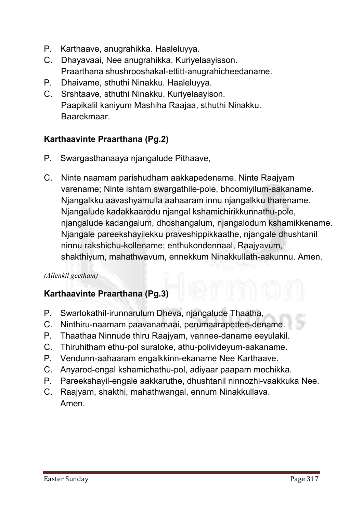- **P. Karthaave, anugrahikka. Haaleluyya.**
- **C. Dhayavaai, Nee anugrahikka. Kuriyelaayisson. Praarthana shushrooshakal-ettitt-anugrahicheedaname.**
- **P. Dhaivame, sthuthi Ninakku. Haaleluyya.**
- **C. Srshtaave, sthuthi Ninakku. Kuriyelaayison. Paapikalil kaniyum Mashiha Raajaa, sthuthi Ninakku. Baarekmaar.**

# Karthaavinte Praarthana (Pg.2)

- **P. Swargasthanaaya njangalude Pithaave,**
- **C. Ninte naamam parishudham aakkapedename. Ninte Raajyam varename; Ninte ishtam swargathile-pole, bhoomiyilum-aakaname. Njangalkku aavashyamulla aahaaram innu njangalkku tharename. Njangalude kadakkaarodu njangal kshamichirikkunnathu-pole, njangalude kadangalum, dhoshangalum, njangalodum kshamikkename. Njangale pareekshayilekku praveshippikkaathe, njangale dhushtanil ninnu rakshichu-kollename; enthukondennaal, Raajyavum, shakthiyum, mahathwavum, ennekkum Ninakkullath-aakunnu. Amen.**

#### *(Allenkil geetham)*

#### Karthaavinte Praarthana (Pg.3)

- **P. Swarlokathil-irunnarulum Dheva, njangalude Thaatha,**
- **C. Ninthiru-naamam paavanamaai, perumaarapettee-dename.**
- **P. Thaathaa Ninnude thiru Raajyam, vannee-daname eeyulakil.**
- **C. Thiruhitham ethu-pol suraloke, athu-polivideyum-aakaname.**
- **P. Vendunn-aahaaram engalkkinn-ekaname Nee Karthaave.**
- **C. Anyarod-engal kshamichathu-pol, adiyaar paapam mochikka.**
- **P. Pareekshayil-engale aakkaruthe, dhushtanil ninnozhi-vaakkuka Nee.**
- **C. Raajyam, shakthi, mahathwangal, ennum Ninakkullava. Amen.**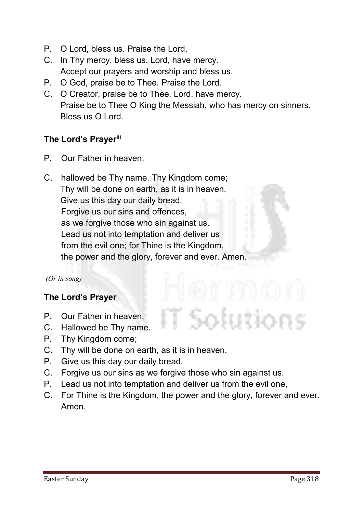- **P. O Lord, bless us. Praise the Lord.**
- **C. In Thy mercy, bless us. Lord, have mercy. Accept our prayers and worship and bless us.**
- **P. O God, praise be to Thee. Praise the Lord.**
- **C. O Creator, praise be to Thee. Lord, have mercy. Praise be to Thee O King the Messiah, who has mercy on sinners. Bless us O Lord.**

#### The Lord's Prayeriii

- **P. Our Father in heaven,**
- **C. hallowed be Thy name. Thy Kingdom come; Thy will be done on earth, as it is in heaven. Give us this day our daily bread. Forgive us our sins and offences, as we forgive those who sin against us. Lead us not into temptation and deliver us from the evil one; for Thine is the Kingdom, the power and the glory, forever and ever. Amen.**

#### *(Or in song)*

#### The Lord's Prayer

- **P. Our Father in heaven,**
- **C. Hallowed be Thy name.**
- **P. Thy Kingdom come;**
- **C. Thy will be done on earth, as it is in heaven.**
- **P. Give us this day our daily bread.**
- **C. Forgive us our sins as we forgive those who sin against us.**
- **P. Lead us not into temptation and deliver us from the evil one,**
- **C. For Thine is the Kingdom, the power and the glory, forever and ever. Amen.**

Solutions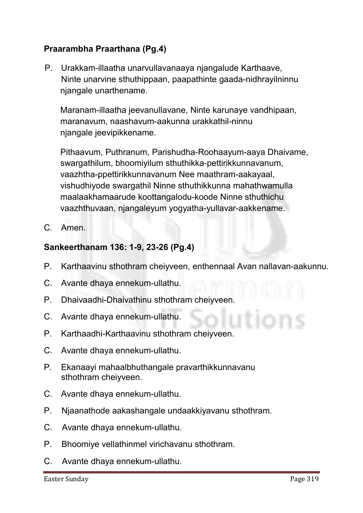# Praarambha Praarthana (Pg.4)

**P. Urakkam-illaatha unarvullavanaaya njangalude Karthaave, Ninte unarvine sthuthippaan, paapathinte gaada-nidhrayilninnu njangale unarthename.** 

**Maranam-illaatha jeevanullavane, Ninte karunaye vandhipaan, maranavum, naashavum-aakunna urakkathil-ninnu njangale jeevipikkename.** 

**Pithaavum, Puthranum, Parishudha-Roohaayum-aaya Dhaivame, swargathilum, bhoomiyilum sthuthikka-pettirikkunnavanum, vaazhtha-ppettirikkunnavanum Nee maathram-aakayaal, vishudhiyode swargathil Ninne sthuthikkunna mahathwamulla maalaakhamaarude koottangalodu-koode Ninne sthuthichu vaazhthuvaan, njangaleyum yogyatha-yullavar-aakkename.**

**C. Amen.** 

#### Sankeerthanam 136: 1-9, 23-26 (Pg.4)

- **P. Karthaavinu sthothram cheiyveen, enthennaal Avan nallavan-aakunnu.**
- **C. Avante dhaya ennekum-ullathu.**
- **P. Dhaivaadhi-Dhaivathinu sthothram cheiyveen.**
- **C. Avante dhaya ennekum-ullathu.**
- **P. Karthaadhi-Karthaavinu sthothram cheiyveen.**
- **C. Avante dhaya ennekum-ullathu.**
- **P. Ekanaayi mahaalbhuthangale pravarthikkunnavanu sthothram cheiyveen.**
- **C. Avante dhaya ennekum-ullathu.**
- **P. Njaanathode aakashangale undaakkiyavanu sthothram.**
- **C. Avante dhaya ennekum-ullathu.**
- **P. Bhoomiye vellathinmel virichavanu sthothram.**
- **C. Avante dhaya ennekum-ullathu.**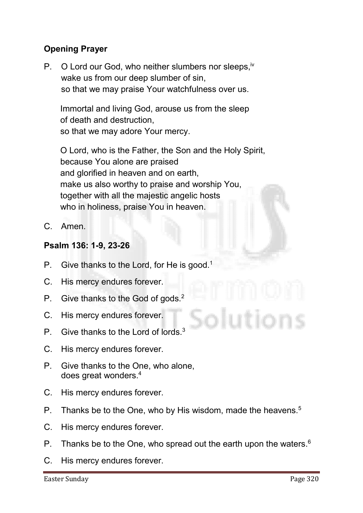# Opening Prayer

**P. O Lord our God, who neither slumbers nor sleeps,iv wake us from our deep slumber of sin, so that we may praise Your watchfulness over us.** 

**Immortal and living God, arouse us from the sleep of death and destruction, so that we may adore Your mercy.** 

**O Lord, who is the Father, the Son and the Holy Spirit, because You alone are praised and glorified in heaven and on earth, make us also worthy to praise and worship You, together with all the majestic angelic hosts who in holiness, praise You in heaven.**

**C. Amen.**

#### Psalm 136: 1-9, 23-26

- **P. Give thanks to the Lord, for He is good.1**
- **C. His mercy endures forever.**
- **P. Give thanks to the God of gods.2**
- **C. His mercy endures forever.**
- **P. Give thanks to the Lord of lords.3**
- **C. His mercy endures forever.**
- **P. Give thanks to the One, who alone, does great wonders.4**
- **C. His mercy endures forever.**
- **P. Thanks be to the One, who by His wisdom, made the heavens.5**
- **C. His mercy endures forever.**
- **P. Thanks be to the One, who spread out the earth upon the waters.6**
- **C. His mercy endures forever.**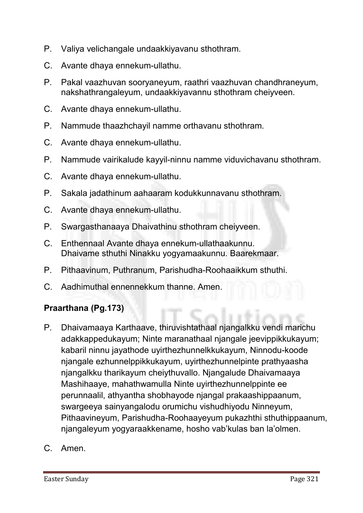- **P. Valiya velichangale undaakkiyavanu sthothram.**
- **C. Avante dhaya ennekum-ullathu.**
- **P. Pakal vaazhuvan sooryaneyum, raathri vaazhuvan chandhraneyum, nakshathrangaleyum, undaakkiyavannu sthothram cheiyveen.**
- **C. Avante dhaya ennekum-ullathu.**
- **P. Nammude thaazhchayil namme orthavanu sthothram.**
- **C. Avante dhaya ennekum-ullathu.**
- **P. Nammude vairikalude kayyil-ninnu namme viduvichavanu sthothram.**
- **C. Avante dhaya ennekum-ullathu.**
- **P. Sakala jadathinum aahaaram kodukkunnavanu sthothram.**
- **C. Avante dhaya ennekum-ullathu.**
- **P. Swargasthanaaya Dhaivathinu sthothram cheiyveen.**
- **C. Enthennaal Avante dhaya ennekum-ullathaakunnu. Dhaivame sthuthi Ninakku yogyamaakunnu. Baarekmaar.**
- **P. Pithaavinum, Puthranum, Parishudha-Roohaaikkum sthuthi.**
- **C. Aadhimuthal ennennekkum thanne. Amen.**

#### Praarthana (Pg.173)

- **P. Dhaivamaaya Karthaave, thiruvishtathaal njangalkku vendi marichu adakkappedukayum; Ninte maranathaal njangale jeevippikkukayum; kabaril ninnu jayathode uyirthezhunnelkkukayum, Ninnodu-koode njangale ezhunnelppikkukayum, uyirthezhunnelpinte prathyaasha njangalkku tharikayum cheiythuvallo. Njangalude Dhaivamaaya Mashihaaye, mahathwamulla Ninte uyirthezhunnelppinte ee perunnaalil, athyantha shobhayode njangal prakaashippaanum, swargeeya sainyangalodu orumichu vishudhiyodu Ninneyum, Pithaavineyum, Parishudha-Roohaayeyum pukazhthi sthuthippaanum, njangaleyum yogyaraakkename, hosho vab'kulas ban la'olmen.**
- **C. Amen.**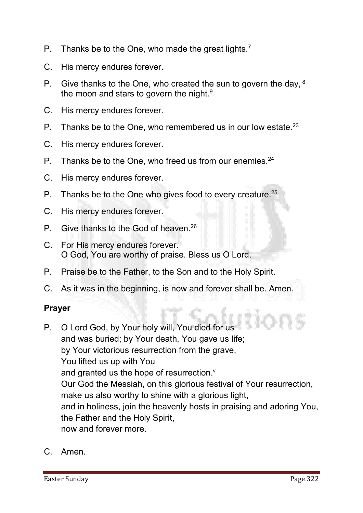- **P. Thanks be to the One, who made the great lights.7**
- **C. His mercy endures forever.**
- **P. Give thanks to the One, who created the sun to govern the day, 8 the moon and stars to govern the night.9**
- **C. His mercy endures forever.**
- **P. Thanks be to the One, who remembered us in our low estate.23**
- **C. His mercy endures forever.**
- **P. Thanks be to the One, who freed us from our enemies.24**
- **C. His mercy endures forever.**
- **P. Thanks be to the One who gives food to every creature.25**
- **C. His mercy endures forever.**
- **P. Give thanks to the God of heaven.26**
- **C. For His mercy endures forever. O God, You are worthy of praise. Bless us O Lord.**
- **P. Praise be to the Father, to the Son and to the Holy Spirit.**
- **C. As it was in the beginning, is now and forever shall be. Amen.**

#### Prayer

- **P. O Lord God, by Your holy will, You died for us and was buried; by Your death, You gave us life; by Your victorious resurrection from the grave, You lifted us up with You**  and granted us the hope of resurrection.<sup>v</sup> **Our God the Messiah, on this glorious festival of Your resurrection, make us also worthy to shine with a glorious light, and in holiness, join the heavenly hosts in praising and adoring You, the Father and the Holy Spirit, now and forever more.**
- **C. Amen.**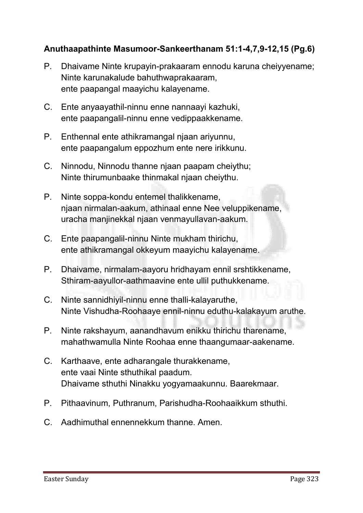# Anuthaapathinte Masumoor-Sankeerthanam 51:1-4,7,9-12,15 (Pg.6)

- **P. Dhaivame Ninte krupayin-prakaaram ennodu karuna cheiyyename; Ninte karunakalude bahuthwaprakaaram, ente paapangal maayichu kalayename.**
- **C. Ente anyaayathil-ninnu enne nannaayi kazhuki, ente paapangalil-ninnu enne vedippaakkename.**
- **P. Enthennal ente athikramangal njaan ariyunnu, ente paapangalum eppozhum ente nere irikkunu.**
- **C. Ninnodu, Ninnodu thanne njaan paapam cheiythu; Ninte thirumunbaake thinmakal njaan cheiythu.**
- **P. Ninte soppa-kondu entemel thalikkename, njaan nirmalan-aakum, athinaal enne Nee veluppikename, uracha manjinekkal njaan venmayullavan-aakum.**
- **C. Ente paapangalil-ninnu Ninte mukham thirichu, ente athikramangal okkeyum maayichu kalayename.**
- **P. Dhaivame, nirmalam-aayoru hridhayam ennil srshtikkename, Sthiram-aayullor-aathmaavine ente ullil puthukkename.**
- **C. Ninte sannidhiyil-ninnu enne thalli-kalayaruthe, Ninte Vishudha-Roohaaye ennil-ninnu eduthu-kalakayum aruthe.**
- **P. Ninte rakshayum, aanandhavum enikku thirichu tharename, mahathwamulla Ninte Roohaa enne thaangumaar-aakename.**
- **C. Karthaave, ente adharangale thurakkename, ente vaai Ninte sthuthikal paadum. Dhaivame sthuthi Ninakku yogyamaakunnu. Baarekmaar.**
- **P. Pithaavinum, Puthranum, Parishudha-Roohaaikkum sthuthi.**
- **C. Aadhimuthal ennennekkum thanne. Amen.**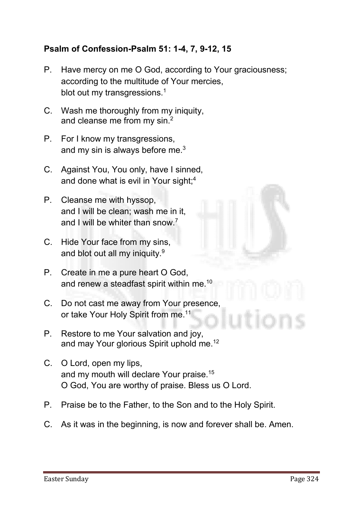#### Psalm of Confession-Psalm 51: 1-4, 7, 9-12, 15

- **P. Have mercy on me O God, according to Your graciousness; according to the multitude of Your mercies, blot out my transgressions.1**
- **C. Wash me thoroughly from my iniquity, and cleanse me from my sin.2**
- **P. For I know my transgressions, and my sin is always before me.3**
- **C. Against You, You only, have I sinned, and done what is evil in Your sight;4**
- **P. Cleanse me with hyssop, and I will be clean; wash me in it, and I will be whiter than snow.7**
- **C. Hide Your face from my sins, and blot out all my iniquity.9**
- **P. Create in me a pure heart O God, and renew a steadfast spirit within me.10**
- **C. Do not cast me away from Your presence, or take Your Holy Spirit from me.11**
- **P. Restore to me Your salvation and joy, and may Your glorious Spirit uphold me.12**
- **C. O Lord, open my lips, and my mouth will declare Your praise.15 O God, You are worthy of praise. Bless us O Lord.**
- **P. Praise be to the Father, to the Son and to the Holy Spirit.**
- **C. As it was in the beginning, is now and forever shall be. Amen.**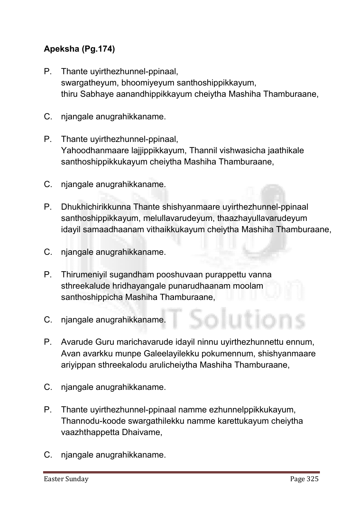# Apeksha (Pg.174)

- **P. Thante uyirthezhunnel-ppinaal, swargatheyum, bhoomiyeyum santhoshippikkayum, thiru Sabhaye aanandhippikkayum cheiytha Mashiha Thamburaane,**
- **C. njangale anugrahikkaname.**
- **P. Thante uyirthezhunnel-ppinaal, Yahoodhanmaare lajjippikkayum, Thannil vishwasicha jaathikale santhoshippikkukayum cheiytha Mashiha Thamburaane,**
- **C. njangale anugrahikkaname.**
- **P. Dhukhichirikkunna Thante shishyanmaare uyirthezhunnel-ppinaal santhoshippikkayum, melullavarudeyum, thaazhayullavarudeyum idayil samaadhaanam vithaikkukayum cheiytha Mashiha Thamburaane,**
- **C. njangale anugrahikkaname.**
- **P. Thirumeniyil sugandham pooshuvaan purappettu vanna sthreekalude hridhayangale punarudhaanam moolam santhoshippicha Mashiha Thamburaane,**
- **C. njangale anugrahikkaname.**
- **P. Avarude Guru marichavarude idayil ninnu uyirthezhunnettu ennum, Avan avarkku munpe Galeelayilekku pokumennum, shishyanmaare ariyippan sthreekalodu arulicheiytha Mashiha Thamburaane,**
- **C. njangale anugrahikkaname.**
- **P. Thante uyirthezhunnel-ppinaal namme ezhunnelppikkukayum, Thannodu-koode swargathilekku namme karettukayum cheiytha vaazhthappetta Dhaivame,**
- **C. njangale anugrahikkaname.**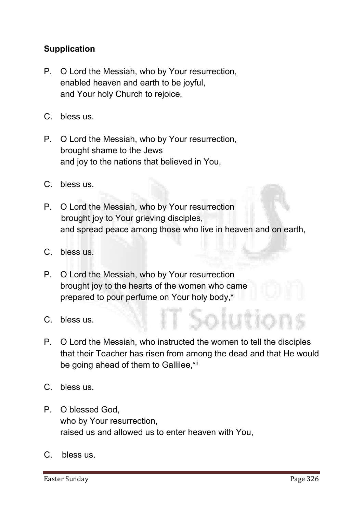# **Supplication**

- **P. O Lord the Messiah, who by Your resurrection, enabled heaven and earth to be joyful, and Your holy Church to rejoice,**
- **C. bless us.**
- **P. O Lord the Messiah, who by Your resurrection, brought shame to the Jews and joy to the nations that believed in You,**
- **C. bless us.**
- **P. O Lord the Messiah, who by Your resurrection brought joy to Your grieving disciples, and spread peace among those who live in heaven and on earth,**
- **C. bless us.**
- **P. O Lord the Messiah, who by Your resurrection brought joy to the hearts of the women who came prepared to pour perfume on Your holy body, vi**
- **C. bless us.**
- **P. O Lord the Messiah, who instructed the women to tell the disciples that their Teacher has risen from among the dead and that He would** be going ahead of them to Gallilee, vil
- **C. bless us.**
- **P. O blessed God, who by Your resurrection, raised us and allowed us to enter heaven with You,**
- **C. bless us.**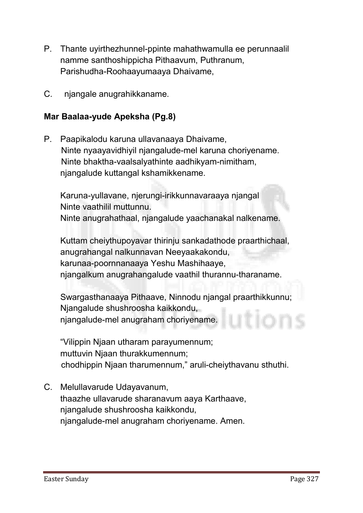- **P. Thante uyirthezhunnel-ppinte mahathwamulla ee perunnaalil namme santhoshippicha Pithaavum, Puthranum, Parishudha-Roohaayumaaya Dhaivame,**
- **C. njangale anugrahikkaname.**

#### Mar Baalaa-yude Apeksha (Pg.8)

**P. Paapikalodu karuna ullavanaaya Dhaivame, Ninte nyaayavidhiyil njangalude-mel karuna choriyename. Ninte bhaktha-vaalsalyathinte aadhikyam-nimitham, njangalude kuttangal kshamikkename.**

**Karuna-yullavane, njerungi-irikkunnavaraaya njangal Ninte vaathilil muttunnu. Ninte anugrahathaal, njangalude yaachanakal nalkename.** 

**Kuttam cheiythupoyavar thirinju sankadathode praarthichaal, anugrahangal nalkunnavan Neeyaakakondu, karunaa-poornnanaaya Yeshu Mashihaaye, njangalkum anugrahangalude vaathil thurannu-tharaname.**

**Swargasthanaaya Pithaave, Ninnodu njangal praarthikkunnu; Njangalude shushroosha kaikkondu, njangalude-mel anugraham choriyename.**

**"Vilippin Njaan utharam parayumennum; muttuvin Njaan thurakkumennum; chodhippin Njaan tharumennum," aruli-cheiythavanu sthuthi.** 

**C. Melullavarude Udayavanum, thaazhe ullavarude sharanavum aaya Karthaave, njangalude shushroosha kaikkondu, njangalude-mel anugraham choriyename. Amen.**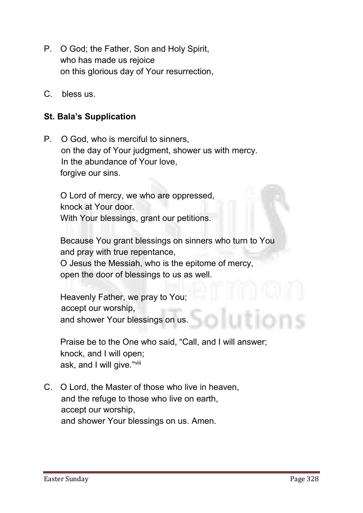- **P. O God; the Father, Son and Holy Spirit, who has made us rejoice on this glorious day of Your resurrection,**
- **C. bless us.**

#### St. Bala's Supplication

**P. O God, who is merciful to sinners, on the day of Your judgment, shower us with mercy. In the abundance of Your love, forgive our sins.**

**O Lord of mercy, we who are oppressed, knock at Your door. With Your blessings, grant our petitions.**

**Because You grant blessings on sinners who turn to You and pray with true repentance, O Jesus the Messiah, who is the epitome of mercy, open the door of blessings to us as well.**

**Heavenly Father, we pray to You; accept our worship, and shower Your blessings on us.**

**Praise be to the One who said, "Call, and I will answer; knock, and I will open; ask, and I will give." viii**

**C. O Lord, the Master of those who live in heaven, and the refuge to those who live on earth, accept our worship, and shower Your blessings on us. Amen.**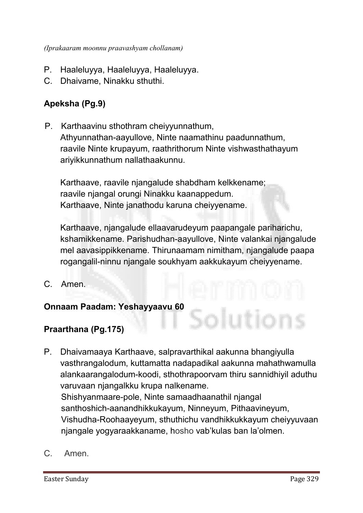- **P. Haaleluyya, Haaleluyya, Haaleluyya.**
- **C. Dhaivame, Ninakku sthuthi.**

# Apeksha (Pg.9)

**P. Karthaavinu sthothram cheiyyunnathum, Athyunnathan-aayullove, Ninte naamathinu paadunnathum, raavile Ninte krupayum, raathrithorum Ninte vishwasthathayum ariyikkunnathum nallathaakunnu.** 

**Karthaave, raavile njangalude shabdham kelkkename; raavile njangal orungi Ninakku kaanappedum. Karthaave, Ninte janathodu karuna cheiyyename.** 

**Karthaave, njangalude ellaavarudeyum paapangale pariharichu, kshamikkename. Parishudhan-aayullove, Ninte valankai njangalude mel aavasippikkename. Thirunaamam nimitham, njangalude paapa rogangalil-ninnu njangale soukhyam aakkukayum cheiyyename.**

**C. Amen.**

#### Onnaam Paadam: Yeshayyaavu 60

#### Praarthana (Pg.175)

- **P. Dhaivamaaya Karthaave, salpravarthikal aakunna bhangiyulla vasthrangalodum, kuttamatta nadapadikal aakunna mahathwamulla alankaarangalodum-koodi, sthothrapoorvam thiru sannidhiyil aduthu varuvaan njangalkku krupa nalkename. Shishyanmaare-pole, Ninte samaadhaanathil njangal santhoshich-aanandhikkukayum, Ninneyum, Pithaavineyum, Vishudha-Roohaayeyum, sthuthichu vandhikkukkayum cheiyyuvaan njangale yogyaraakkaname, hosho vab'kulas ban la'olmen.**
- **C. Amen.**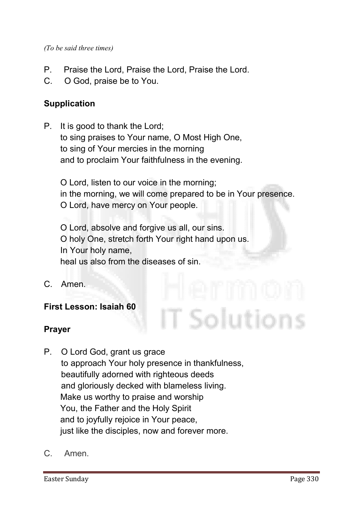*(To be said three times)*

- **P. Praise the Lord, Praise the Lord, Praise the Lord.**
- **C. O God, praise be to You.**

#### Supplication

**P. It is good to thank the Lord; to sing praises to Your name, O Most High One, to sing of Your mercies in the morning and to proclaim Your faithfulness in the evening.**

**O Lord, listen to our voice in the morning; in the morning, we will come prepared to be in Your presence. O Lord, have mercy on Your people.** 

T Solutions

**O Lord, absolve and forgive us all, our sins. O holy One, stretch forth Your right hand upon us. In Your holy name, heal us also from the diseases of sin.**

**C. Amen.**

#### First Lesson: Isaiah 60

#### Prayer

- **P. O Lord God, grant us grace to approach Your holy presence in thankfulness, beautifully adorned with righteous deeds and gloriously decked with blameless living. Make us worthy to praise and worship You, the Father and the Holy Spirit and to joyfully rejoice in Your peace, just like the disciples, now and forever more.**
- **C. Amen.**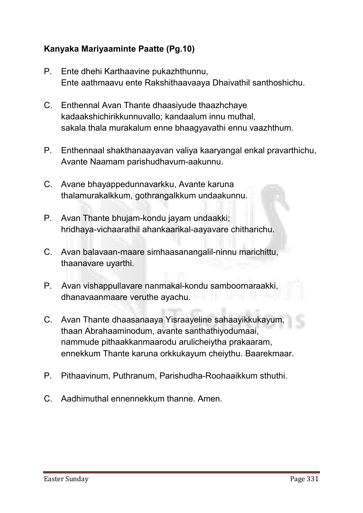# Kanyaka Mariyaaminte Paatte (Pg.10)

- **P. Ente dhehi Karthaavine pukazhthunnu, Ente aathmaavu ente Rakshithaavaaya Dhaivathil santhoshichu.**
- **C. Enthennal Avan Thante dhaasiyude thaazhchaye kadaakshichirikkunnuvallo; kandaalum innu muthal, sakala thala murakalum enne bhaagyavathi ennu vaazhthum.**
- **P. Enthennaal shakthanaayavan valiya kaaryangal enkal pravarthichu, Avante Naamam parishudhavum-aakunnu.**
- **C. Avane bhayappedunnavarkku, Avante karuna thalamurakalkkum, gothrangalkkum undaakunnu.**
- **P. Avan Thante bhujam-kondu jayam undaakki; hridhaya-vichaarathil ahankaarikal-aayavare chitharichu.**
- **C. Avan balavaan-maare simhaasanangalil-ninnu marichittu, thaanavare uyarthi.**
- **P. Avan vishappullavare nanmakal-kondu samboornaraakki, dhanavaanmaare veruthe ayachu.**
- **C. Avan Thante dhaasanaaya Yisraayeline sahaayikkukayum, thaan Abrahaaminodum, avante santhathiyodumaai, nammude pithaakkanmaarodu arulicheiytha prakaaram, ennekkum Thante karuna orkkukayum cheiythu. Baarekmaar.**
- **P. Pithaavinum, Puthranum, Parishudha-Roohaaikkum sthuthi.**
- **C. Aadhimuthal ennennekkum thanne. Amen.**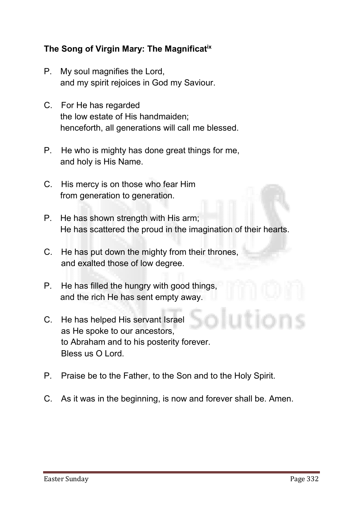#### The Song of Virgin Mary: The Magnificatix

- **P. My soul magnifies the Lord, and my spirit rejoices in God my Saviour.**
- **C. For He has regarded the low estate of His handmaiden; henceforth, all generations will call me blessed.**
- **P. He who is mighty has done great things for me, and holy is His Name.**
- **C. His mercy is on those who fear Him from generation to generation.**
- **P. He has shown strength with His arm; He has scattered the proud in the imagination of their hearts.**
- **C. He has put down the mighty from their thrones, and exalted those of low degree.**
- **P. He has filled the hungry with good things, and the rich He has sent empty away.**
- **C. He has helped His servant Israel as He spoke to our ancestors, to Abraham and to his posterity forever. Bless us O Lord.**
- **P. Praise be to the Father, to the Son and to the Holy Spirit.**
- **C. As it was in the beginning, is now and forever shall be. Amen.**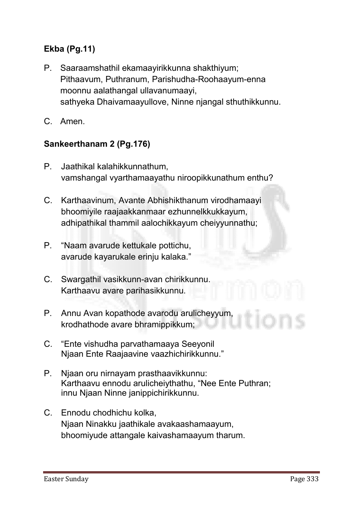# Ekba (Pg.11)

- **P. Saaraamshathil ekamaayirikkunna shakthiyum; Pithaavum, Puthranum, Parishudha-Roohaayum-enna moonnu aalathangal ullavanumaayi, sathyeka Dhaivamaayullove, Ninne njangal sthuthikkunnu.**
- **C. Amen.**

#### Sankeerthanam 2 (Pg.176)

- **P. Jaathikal kalahikkunnathum, vamshangal vyarthamaayathu niroopikkunathum enthu?**
- **C. Karthaavinum, Avante Abhishikthanum virodhamaayi bhoomiyile raajaakkanmaar ezhunnelkkukkayum, adhipathikal thammil aalochikkayum cheiyyunnathu;**
- **P. "Naam avarude kettukale pottichu, avarude kayarukale erinju kalaka."**
- **C. Swargathil vasikkunn-avan chirikkunnu. Karthaavu avare parihasikkunnu.**
- **P. Annu Avan kopathode avarodu arulicheyyum, krodhathode avare bhramippikkum;**
- **C. "Ente vishudha parvathamaaya Seeyonil Njaan Ente Raajaavine vaazhichirikkunnu."**
- **P. Njaan oru nirnayam prasthaavikkunnu: Karthaavu ennodu arulicheiythathu, "Nee Ente Puthran; innu Njaan Ninne janippichirikkunnu.**
- **C. Ennodu chodhichu kolka, Njaan Ninakku jaathikale avakaashamaayum, bhoomiyude attangale kaivashamaayum tharum.**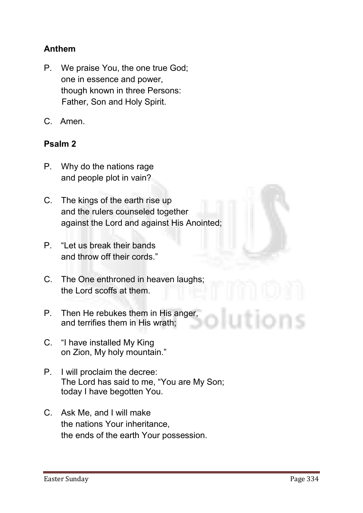# Anthem

- **P. We praise You, the one true God; one in essence and power, though known in three Persons: Father, Son and Holy Spirit.**
- **C. Amen.**

#### Psalm 2

- **P. Why do the nations rage and people plot in vain?**
- **C. The kings of the earth rise up and the rulers counseled together against the Lord and against His Anointed;**
- **P. "Let us break their bands and throw off their cords."**
- **C. The One enthroned in heaven laughs; the Lord scoffs at them.**
- **P. Then He rebukes them in His anger, and terrifies them in His wrath;**
- **C. "I have installed My King on Zion, My holy mountain."**
- **P. I will proclaim the decree: The Lord has said to me, "You are My Son; today I have begotten You.**
- **C. Ask Me, and I will make the nations Your inheritance, the ends of the earth Your possession.**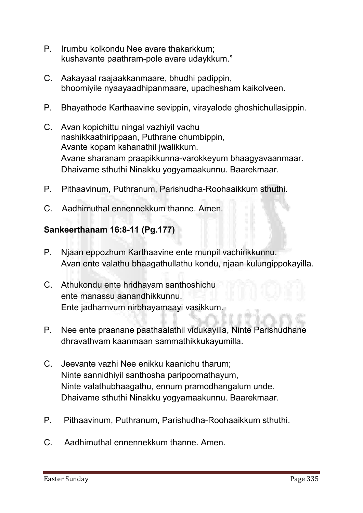- **P. Irumbu kolkondu Nee avare thakarkkum; kushavante paathram-pole avare udaykkum."**
- **C. Aakayaal raajaakkanmaare, bhudhi padippin, bhoomiyile nyaayaadhipanmaare, upadhesham kaikolveen.**
- **P. Bhayathode Karthaavine sevippin, virayalode ghoshichullasippin.**
- **C. Avan kopichittu ningal vazhiyil vachu nashikkaathirippaan, Puthrane chumbippin, Avante kopam kshanathil jwalikkum. Avane sharanam praapikkunna-varokkeyum bhaagyavaanmaar. Dhaivame sthuthi Ninakku yogyamaakunnu. Baarekmaar.**
- **P. Pithaavinum, Puthranum, Parishudha-Roohaaikkum sthuthi.**
- **C. Aadhimuthal ennennekkum thanne. Amen.**

#### Sankeerthanam 16:8-11 (Pg.177)

- **P. Njaan eppozhum Karthaavine ente munpil vachirikkunnu. Avan ente valathu bhaagathullathu kondu, njaan kulungippokayilla.**
- **C. Athukondu ente hridhayam santhoshichu ente manassu aanandhikkunnu. Ente jadhamvum nirbhayamaayi vasikkum.**
- **P. Nee ente praanane paathaalathil vidukayilla, Ninte Parishudhane dhravathvam kaanmaan sammathikkukayumilla.**
- **C. Jeevante vazhi Nee enikku kaanichu tharum; Ninte sannidhiyil santhosha paripoornathayum, Ninte valathubhaagathu, ennum pramodhangalum unde. Dhaivame sthuthi Ninakku yogyamaakunnu. Baarekmaar.**
- **P. Pithaavinum, Puthranum, Parishudha-Roohaaikkum sthuthi.**
- **C. Aadhimuthal ennennekkum thanne. Amen.**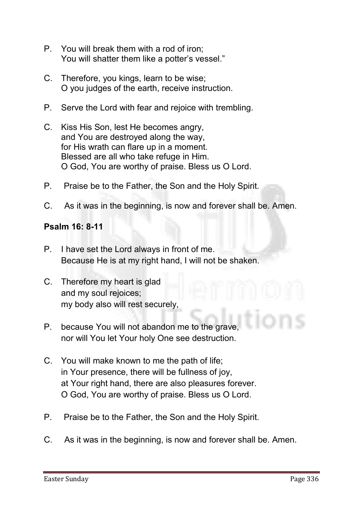- **P. You will break them with a rod of iron; You will shatter them like a potter's vessel."**
- **C. Therefore, you kings, learn to be wise; O you judges of the earth, receive instruction.**
- **P. Serve the Lord with fear and rejoice with trembling.**
- **C. Kiss His Son, lest He becomes angry, and You are destroyed along the way, for His wrath can flare up in a moment. Blessed are all who take refuge in Him. O God, You are worthy of praise. Bless us O Lord.**
- **P. Praise be to the Father, the Son and the Holy Spirit.**
- **C. As it was in the beginning, is now and forever shall be. Amen.**

#### Psalm 16: 8-11

- **P. I have set the Lord always in front of me. Because He is at my right hand, I will not be shaken.**
- **C. Therefore my heart is glad and my soul rejoices; my body also will rest securely,**
- **P. because You will not abandon me to the grave, nor will You let Your holy One see destruction.**
- **C. You will make known to me the path of life; in Your presence, there will be fullness of joy, at Your right hand, there are also pleasures forever. O God, You are worthy of praise. Bless us O Lord.**
- **P. Praise be to the Father, the Son and the Holy Spirit.**
- **C. As it was in the beginning, is now and forever shall be. Amen.**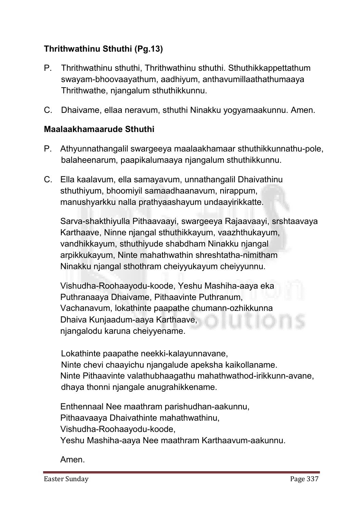# Thrithwathinu Sthuthi (Pg.13)

- **P. Thrithwathinu sthuthi, Thrithwathinu sthuthi. Sthuthikkappettathum swayam-bhoovaayathum, aadhiyum, anthavumillaathathumaaya Thrithwathe, njangalum sthuthikkunnu.**
- **C. Dhaivame, ellaa neravum, sthuthi Ninakku yogyamaakunnu. Amen.**

#### Maalaakhamaarude Sthuthi

- **P. Athyunnathangalil swargeeya maalaakhamaar sthuthikkunnathu-pole, balaheenarum, paapikalumaaya njangalum sthuthikkunnu.**
- **C. Ella kaalavum, ella samayavum, unnathangalil Dhaivathinu sthuthiyum, bhoomiyil samaadhaanavum, nirappum, manushyarkku nalla prathyaashayum undaayirikkatte.**

**Sarva-shakthiyulla Pithaavaayi, swargeeya Rajaavaayi, srshtaavaya Karthaave, Ninne njangal sthuthikkayum, vaazhthukayum, vandhikkayum, sthuthiyude shabdham Ninakku njangal arpikkukayum, Ninte mahathwathin shreshtatha-nimitham Ninakku njangal sthothram cheiyyukayum cheiyyunnu.** 

**Vishudha-Roohaayodu-koode, Yeshu Mashiha-aaya eka Puthranaaya Dhaivame, Pithaavinte Puthranum, Vachanavum, lokathinte paapathe chumann-ozhikkunna Dhaiva Kunjaadum-aaya Karthaave, njangalodu karuna cheiyyename.** 

**Lokathinte paapathe neekki-kalayunnavane, Ninte chevi chaayichu njangalude apeksha kaikollaname. Ninte Pithaavinte valathubhaagathu mahathwathod-irikkunn-avane, dhaya thonni njangale anugrahikkename.** 

**Enthennaal Nee maathram parishudhan-aakunnu, Pithaavaaya Dhaivathinte mahathwathinu, Vishudha-Roohaayodu-koode, Yeshu Mashiha-aaya Nee maathram Karthaavum-aakunnu.**

**Amen.**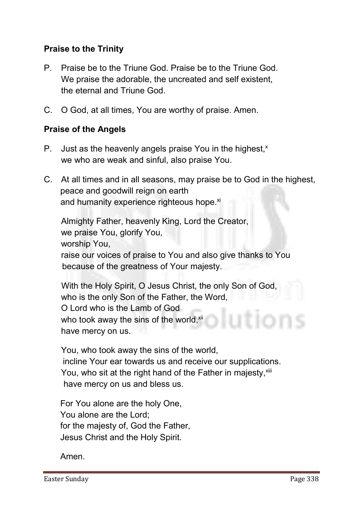## Praise to the Trinity

- **P. Praise be to the Triune God. Praise be to the Triune God. We praise the adorable, the uncreated and self existent, the eternal and Triune God.**
- **C. O God, at all times, You are worthy of praise. Amen.**

#### Praise of the Angels

- **P.** Just as the heavenly angels praise You in the highest,<sup>x</sup> **we who are weak and sinful, also praise You.**
- **C. At all times and in all seasons, may praise be to God in the highest, peace and goodwill reign on earth** and humanity experience righteous hope.<sup>xi</sup>

**Almighty Father, heavenly King, Lord the Creator, we praise You, glorify You, worship You, raise our voices of praise to You and also give thanks to You because of the greatness of Your majesty.**

 **With the Holy Spirit, O Jesus Christ, the only Son of God, who is the only Son of the Father, the Word, O Lord who is the Lamb of God**  who took away the sins of the world, xii **have mercy on us.**

**You, who took away the sins of the world, incline Your ear towards us and receive our supplications.** You, who sit at the right hand of the Father in majesty, xili **have mercy on us and bless us.**

**For You alone are the holy One, You alone are the Lord; for the majesty of, God the Father, Jesus Christ and the Holy Spirit.**

**Amen.**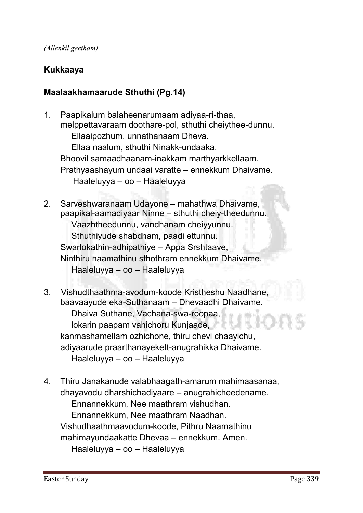#### Kukkaaya

#### Maalaakhamaarude Sthuthi (Pg.14)

- **1. Paapikalum balaheenarumaam adiyaa-ri-thaa, melppettavaraam doothare-pol, sthuthi cheiythee-dunnu. Ellaaipozhum, unnathanaam Dheva. Ellaa naalum, sthuthi Ninakk-undaaka. Bhoovil samaadhaanam-inakkam marthyarkkellaam. Prathyaashayum undaai varatte – ennekkum Dhaivame. Haaleluyya – oo – Haaleluyya**
- **2. Sarveshwaranaam Udayone – mahathwa Dhaivame, paapikal-aamadiyaar Ninne – sthuthi cheiy-theedunnu. Vaazhtheedunnu, vandhanam cheiyyunnu. Sthuthiyude shabdham, paadi ettunnu. Swarlokathin-adhipathiye – Appa Srshtaave, Ninthiru naamathinu sthothram ennekkum Dhaivame. Haaleluyya – oo – Haaleluyya**
- **3. Vishudthaathma-avodum-koode Kristheshu Naadhane, baavaayude eka-Suthanaam – Dhevaadhi Dhaivame. Dhaiva Suthane, Vachana-swa-roopaa, lokarin paapam vahichoru Kunjaade, kanmashamellam ozhichone, thiru chevi chaayichu, adiyaarude praarthanayekett-anugrahikka Dhaivame. Haaleluyya – oo – Haaleluyya**
- **4. Thiru Janakanude valabhaagath-amarum mahimaasanaa, dhayavodu dharshichadiyaare – anugrahicheedename. Ennannekkum, Nee maathram vishudhan. Ennannekkum, Nee maathram Naadhan.**

**Vishudhaathmaavodum-koode, Pithru Naamathinu**

**mahimayundaakatte Dhevaa – ennekkum. Amen.**

**Haaleluyya – oo – Haaleluyya**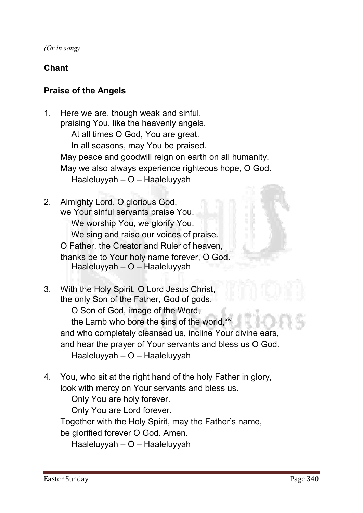*(Or in song)*

# Chant

#### Praise of the Angels

- **1. Here we are, though weak and sinful, praising You, like the heavenly angels. At all times O God, You are great. In all seasons, may You be praised. May peace and goodwill reign on earth on all humanity. May we also always experience righteous hope, O God. Haaleluyyah – O – Haaleluyyah**
- **2. Almighty Lord, O glorious God, we Your sinful servants praise You. We worship You, we glorify You. We sing and raise our voices of praise. O Father, the Creator and Ruler of heaven, thanks be to Your holy name forever, O God. Haaleluyyah – O – Haaleluyyah**
- **3. With the Holy Spirit, O Lord Jesus Christ, the only Son of the Father, God of gods. O Son of God, image of the Word, the Lamb who bore the sins of the world, xiv and who completely cleansed us, incline Your divine ears, and hear the prayer of Your servants and bless us O God. Haaleluyyah – O – Haaleluyyah**
- **4. You, who sit at the right hand of the holy Father in glory, look with mercy on Your servants and bless us.**

**Only You are holy forever.**

**Only You are Lord forever.**

**Together with the Holy Spirit, may the Father's name,** 

**be glorified forever O God. Amen.**

**Haaleluyyah – O – Haaleluyyah**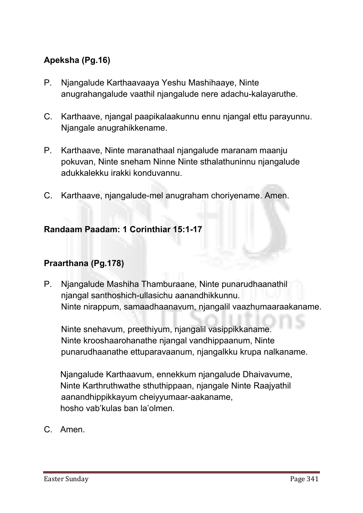# Apeksha (Pg.16)

- **P. Njangalude Karthaavaaya Yeshu Mashihaaye, Ninte anugrahangalude vaathil njangalude nere adachu-kalayaruthe.**
- **C. Karthaave, njangal paapikalaakunnu ennu njangal ettu parayunnu. Njangale anugrahikkename.**
- **P. Karthaave, Ninte maranathaal njangalude maranam maanju pokuvan, Ninte sneham Ninne Ninte sthalathuninnu njangalude adukkalekku irakki konduvannu.**
- **C. Karthaave, njangalude-mel anugraham choriyename. Amen.**

#### Randaam Paadam: 1 Corinthiar 15:1-17

#### Praarthana (Pg.178)

**P. Njangalude Mashiha Thamburaane, Ninte punarudhaanathil njangal santhoshich-ullasichu aanandhikkunnu. Ninte nirappum, samaadhaanavum, njangalil vaazhumaaraakaname.** 

**Ninte snehavum, preethiyum, njangalil vasippikkaname. Ninte krooshaarohanathe njangal vandhippaanum, Ninte punarudhaanathe ettuparavaanum, njangalkku krupa nalkaname.** 

**Njangalude Karthaavum, ennekkum njangalude Dhaivavume, Ninte Karthruthwathe sthuthippaan, njangale Ninte Raajyathil aanandhippikkayum cheiyyumaar-aakaname, hosho vab'kulas ban la'olmen.**

**C. Amen.**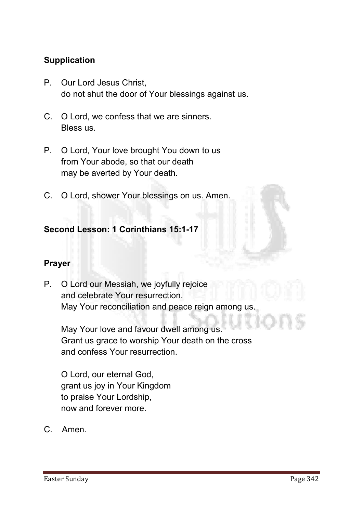#### **Supplication**

- **P. Our Lord Jesus Christ, do not shut the door of Your blessings against us.**
- **C. O Lord, we confess that we are sinners. Bless us.**
- **P. O Lord, Your love brought You down to us from Your abode, so that our death may be averted by Your death.**
- **C. O Lord, shower Your blessings on us. Amen.**

#### Second Lesson: 1 Corinthians 15:1-17

#### Prayer

**P. O Lord our Messiah, we joyfully rejoice and celebrate Your resurrection. May Your reconciliation and peace reign among us.**

**May Your love and favour dwell among us. Grant us grace to worship Your death on the cross and confess Your resurrection.**

**O Lord, our eternal God, grant us joy in Your Kingdom to praise Your Lordship, now and forever more.**

**C. Amen.**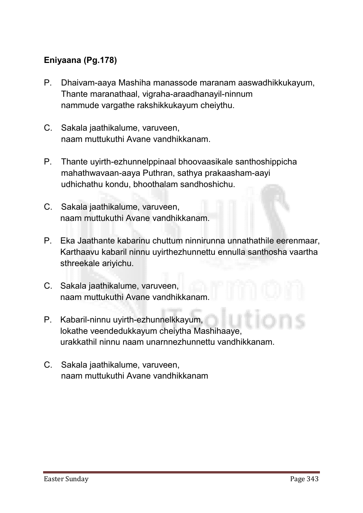# Eniyaana (Pg.178)

- **P. Dhaivam-aaya Mashiha manassode maranam aaswadhikkukayum, Thante maranathaal, vigraha-araadhanayil-ninnum nammude vargathe rakshikkukayum cheiythu.**
- **C. Sakala jaathikalume, varuveen, naam muttukuthi Avane vandhikkanam.**
- **P. Thante uyirth-ezhunnelppinaal bhoovaasikale santhoshippicha mahathwavaan-aaya Puthran, sathya prakaasham-aayi udhichathu kondu, bhoothalam sandhoshichu.**
- **C. Sakala jaathikalume, varuveen, naam muttukuthi Avane vandhikkanam.**
- **P. Eka Jaathante kabarinu chuttum ninnirunna unnathathile eerenmaar, Karthaavu kabaril ninnu uyirthezhunnettu ennulla santhosha vaartha sthreekale ariyichu.**
- **C. Sakala jaathikalume, varuveen, naam muttukuthi Avane vandhikkanam.**
- **P. Kabaril-ninnu uyirth-ezhunnelkkayum, lokathe veendedukkayum cheiytha Mashihaaye, urakkathil ninnu naam unarnnezhunnettu vandhikkanam.**
- **C. Sakala jaathikalume, varuveen, naam muttukuthi Avane vandhikkanam**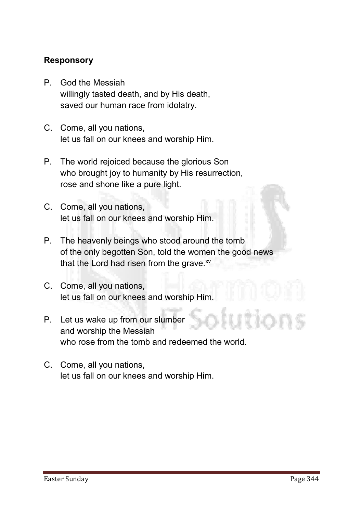#### Responsory

- **P. God the Messiah willingly tasted death, and by His death, saved our human race from idolatry.**
- **C. Come, all you nations, let us fall on our knees and worship Him.**
- **P. The world rejoiced because the glorious Son who brought joy to humanity by His resurrection, rose and shone like a pure light.**
- **C. Come, all you nations, let us fall on our knees and worship Him.**
- **P. The heavenly beings who stood around the tomb of the only begotten Son, told the women the good news**  that the Lord had risen from the grave.<sup>xv</sup>
- **C. Come, all you nations, let us fall on our knees and worship Him.**
- **P. Let us wake up from our slumber and worship the Messiah who rose from the tomb and redeemed the world.**
- **C. Come, all you nations, let us fall on our knees and worship Him.**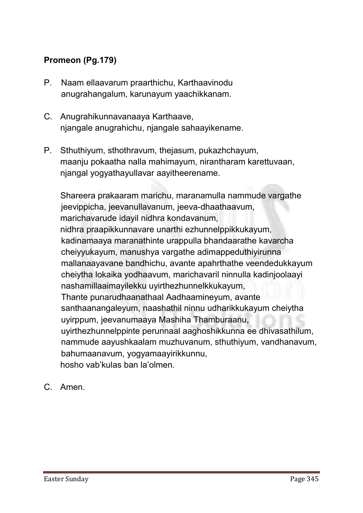# Promeon (Pg.179)

- **P. Naam ellaavarum praarthichu, Karthaavinodu anugrahangalum, karunayum yaachikkanam.**
- **C. Anugrahikunnavanaaya Karthaave, njangale anugrahichu, njangale sahaayikename.**
- **P. Sthuthiyum, sthothravum, thejasum, pukazhchayum, maanju pokaatha nalla mahimayum, nirantharam karettuvaan, njangal yogyathayullavar aayitheerename.**

**Shareera prakaaram marichu, maranamulla nammude vargathe jeevippicha, jeevanullavanum, jeeva-dhaathaavum, marichavarude idayil nidhra kondavanum, nidhra praapikkunnavare unarthi ezhunnelppikkukayum, kadinamaaya maranathinte urappulla bhandaarathe kavarcha cheiyyukayum, manushya vargathe adimappeduthiyirunna mallanaayavane bandhichu, avante apahrthathe veendedukkayum cheiytha lokaika yodhaavum, marichavaril ninnulla kadinjoolaayi nashamillaaimayilekku uyirthezhunnelkkukayum, Thante punarudhaanathaal Aadhaamineyum, avante santhaanangaleyum, naashathil ninnu udharikkukayum cheiytha uyirppum, jeevanumaaya Mashiha Thamburaanu, uyirthezhunnelppinte perunnaal aaghoshikkunna ee dhivasathilum, nammude aayushkaalam muzhuvanum, sthuthiyum, vandhanavum, bahumaanavum, yogyamaayirikkunnu, hosho vab'kulas ban la'olmen.**

**C. Amen.**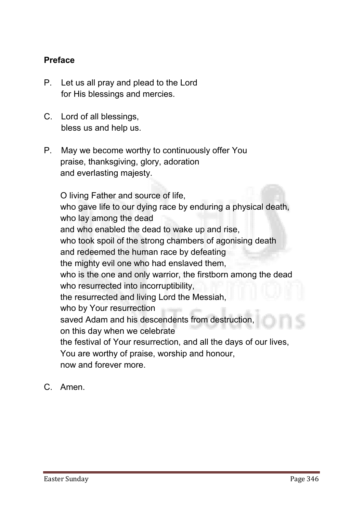#### Preface

- **P. Let us all pray and plead to the Lord for His blessings and mercies.**
- **C. Lord of all blessings, bless us and help us.**
- **P. May we become worthy to continuously offer You praise, thanksgiving, glory, adoration and everlasting majesty.**

**O living Father and source of life, who gave life to our dying race by enduring a physical death, who lay among the dead and who enabled the dead to wake up and rise, who took spoil of the strong chambers of agonising death and redeemed the human race by defeating the mighty evil one who had enslaved them, who is the one and only warrior, the firstborn among the dead who resurrected into incorruptibility, the resurrected and living Lord the Messiah, who by Your resurrection saved Adam and his descendents from destruction, on this day when we celebrate the festival of Your resurrection, and all the days of our lives, You are worthy of praise, worship and honour, now and forever more.**

**C. Amen.**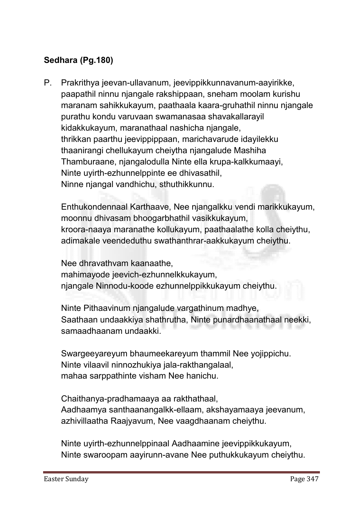# Sedhara (Pg.180)

**P. Prakrithya jeevan-ullavanum, jeevippikkunnavanum-aayirikke, paapathil ninnu njangale rakshippaan, sneham moolam kurishu maranam sahikkukayum, paathaala kaara-gruhathil ninnu njangale purathu kondu varuvaan swamanasaa shavakallarayil kidakkukayum, maranathaal nashicha njangale, thrikkan paarthu jeevippippaan, marichavarude idayilekku thaanirangi chellukayum cheiytha njangalude Mashiha Thamburaane, njangalodulla Ninte ella krupa-kalkkumaayi, Ninte uyirth-ezhunnelppinte ee dhivasathil, Ninne njangal vandhichu, sthuthikkunnu.** 

**Enthukondennaal Karthaave, Nee njangalkku vendi marikkukayum, moonnu dhivasam bhoogarbhathil vasikkukayum, kroora-naaya maranathe kollukayum, paathaalathe kolla cheiythu, adimakale veendeduthu swathanthrar-aakkukayum cheiythu.** 

**Nee dhravathvam kaanaathe, mahimayode jeevich-ezhunnelkkukayum, njangale Ninnodu-koode ezhunnelppikkukayum cheiythu.** 

**Ninte Pithaavinum njangalude vargathinum madhye, Saathaan undaakkiya shathrutha, Ninte punardhaanathaal neekki, samaadhaanam undaakki.** 

**Swargeeyareyum bhaumeekareyum thammil Nee yojippichu. Ninte vilaavil ninnozhukiya jala-rakthangalaal, mahaa sarppathinte visham Nee hanichu.** 

**Chaithanya-pradhamaaya aa rakthathaal, Aadhaamya santhaanangalkk-ellaam, akshayamaaya jeevanum, azhivillaatha Raajyavum, Nee vaagdhaanam cheiythu.** 

**Ninte uyirth-ezhunnelppinaal Aadhaamine jeevippikkukayum, Ninte swaroopam aayirunn-avane Nee puthukkukayum cheiythu.**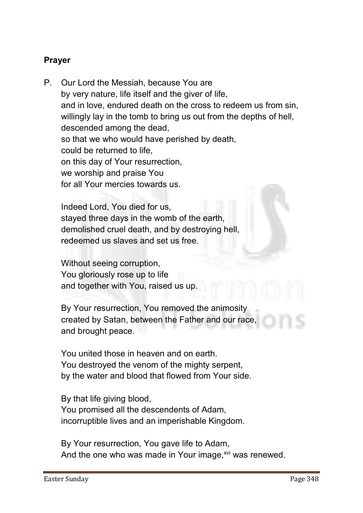#### Prayer

**P. Our Lord the Messiah, because You are by very nature, life itself and the giver of life, and in love, endured death on the cross to redeem us from sin, willingly lay in the tomb to bring us out from the depths of hell, descended among the dead, so that we who would have perished by death, could be returned to life, on this day of Your resurrection, we worship and praise You for all Your mercies towards us.**

**Indeed Lord, You died for us, stayed three days in the womb of the earth, demolished cruel death, and by destroying hell, redeemed us slaves and set us free.**

**Without seeing corruption, You gloriously rose up to life and together with You, raised us up.**

**By Your resurrection, You removed the animosity created by Satan, between the Father and our race, and brought peace.** 

**You united those in heaven and on earth. You destroyed the venom of the mighty serpent, by the water and blood that flowed from Your side.**

**By that life giving blood, You promised all the descendents of Adam, incorruptible lives and an imperishable Kingdom.**

**By Your resurrection, You gave life to Adam,**  And the one who was made in Your image,<sup>xvi</sup> was renewed.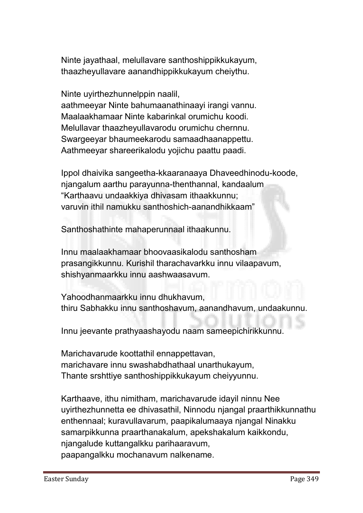**Ninte jayathaal, melullavare santhoshippikkukayum, thaazheyullavare aanandhippikkukayum cheiythu.** 

**Ninte uyirthezhunnelppin naalil,** 

**aathmeeyar Ninte bahumaanathinaayi irangi vannu. Maalaakhamaar Ninte kabarinkal orumichu koodi. Melullavar thaazheyullavarodu orumichu chernnu. Swargeeyar bhaumeekarodu samaadhaanappettu. Aathmeeyar shareerikalodu yojichu paattu paadi.** 

**Ippol dhaivika sangeetha-kkaaranaaya Dhaveedhinodu-koode, njangalum aarthu parayunna-thenthannal, kandaalum "Karthaavu undaakkiya dhivasam ithaakkunnu; varuvin ithil namukku santhoshich-aanandhikkaam"**

**Santhoshathinte mahaperunnaal ithaakunnu.** 

**Innu maalaakhamaar bhoovaasikalodu santhosham prasangikkunnu. Kurishil tharachavarkku innu vilaapavum, shishyanmaarkku innu aashwaasavum.** 

**Yahoodhanmaarkku innu dhukhavum, thiru Sabhakku innu santhoshavum, aanandhavum, undaakunnu.** 

**Innu jeevante prathyaashayodu naam sameepichirikkunnu.** 

**Marichavarude koottathil ennappettavan, marichavare innu swashabdhathaal unarthukayum, Thante srshttiye santhoshippikkukayum cheiyyunnu.** 

**Karthaave, ithu nimitham, marichavarude idayil ninnu Nee uyirthezhunnetta ee dhivasathil, Ninnodu njangal praarthikkunnathu enthennaal; kuravullavarum, paapikalumaaya njangal Ninakku samarpikkunna praarthanakalum, apekshakalum kaikkondu, njangalude kuttangalkku parihaaravum, paapangalkku mochanavum nalkename.**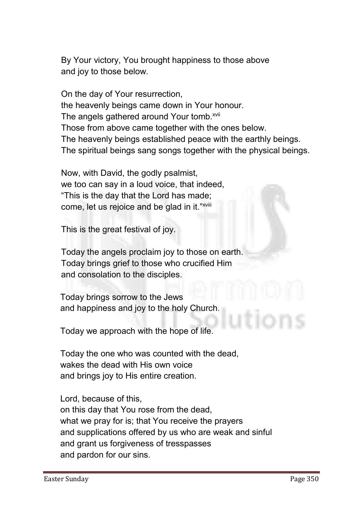**By Your victory, You brought happiness to those above and joy to those below.**

**On the day of Your resurrection, the heavenly beings came down in Your honour.**  The angels gathered around Your tomb.<sup>xvii</sup> **Those from above came together with the ones below. The heavenly beings established peace with the earthly beings. The spiritual beings sang songs together with the physical beings.**

**Now, with David, the godly psalmist, we too can say in a loud voice, that indeed, "This is the day that the Lord has made; come, let us rejoice and be glad in it."xviii**

**This is the great festival of joy.**

**Today the angels proclaim joy to those on earth. Today brings grief to those who crucified Him and consolation to the disciples.**

**Today brings sorrow to the Jews and happiness and joy to the holy Church.**

**Today we approach with the hope of life.**

**Today the one who was counted with the dead, wakes the dead with His own voice and brings joy to His entire creation.**

**Lord, because of this,** 

**on this day that You rose from the dead, what we pray for is; that You receive the prayers and supplications offered by us who are weak and sinful and grant us forgiveness of tresspasses and pardon for our sins.**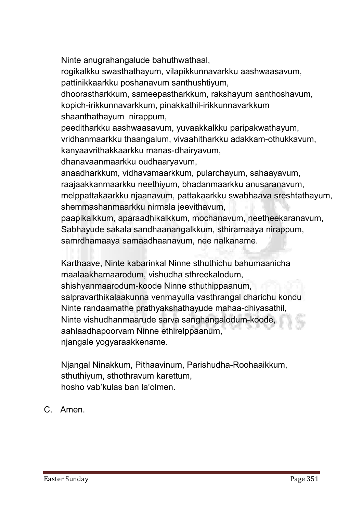**Ninte anugrahangalude bahuthwathaal, rogikalkku swasthathayum, vilapikkunnavarkku aashwaasavum, pattinikkaarkku poshanavum santhushtiyum, dhoorastharkkum, sameepastharkkum, rakshayum santhoshavum, kopich-irikkunnavarkkum, pinakkathil-irikkunnavarkkum shaanthathayum nirappum, peeditharkku aashwaasavum, yuvaakkalkku paripakwathayum, vridhanmaarkku thaangalum, vivaahitharkku adakkam-othukkavum, kanyaavrithakkaarkku manas-dhairyavum, dhanavaanmaarkku oudhaaryavum, anaadharkkum, vidhavamaarkkum, pularchayum, sahaayavum, raajaakkanmaarkku neethiyum, bhadanmaarkku anusaranavum, melppattakaarkku njaanavum, pattakaarkku swabhaava sreshtathayum, shemmashanmaarkku nirmala jeevithavum, paapikalkkum, aparaadhikalkkum, mochanavum, neetheekaranavum, Sabhayude sakala sandhaanangalkkum, sthiramaaya nirappum, samrdhamaaya samaadhaanavum, nee nalkaname.** 

**Karthaave, Ninte kabarinkal Ninne sthuthichu bahumaanicha maalaakhamaarodum, vishudha sthreekalodum, shishyanmaarodum-koode Ninne sthuthippaanum, salpravarthikalaakunna venmayulla vasthrangal dharichu kondu Ninte randaamathe prathyakshathayude mahaa-dhivasathil, Ninte vishudhanmaarude sarva sanghangalodum-koode, aahlaadhapoorvam Ninne ethirelppaanum, njangale yogyaraakkename.** 

**Njangal Ninakkum, Pithaavinum, Parishudha-Roohaaikkum, sthuthiyum, sthothravum karettum, hosho vab'kulas ban la'olmen.**

**C. Amen.**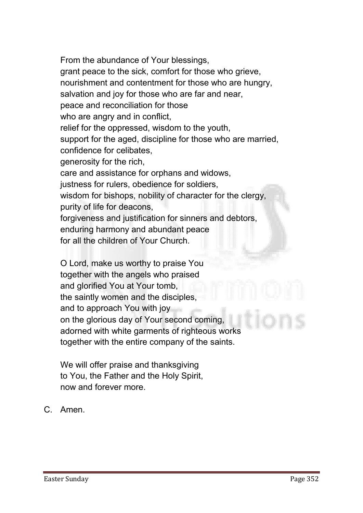**From the abundance of Your blessings, grant peace to the sick, comfort for those who grieve, nourishment and contentment for those who are hungry, salvation and joy for those who are far and near, peace and reconciliation for those who are angry and in conflict, relief for the oppressed, wisdom to the youth, support for the aged, discipline for those who are married, confidence for celibates, generosity for the rich, care and assistance for orphans and widows, justness for rulers, obedience for soldiers, wisdom for bishops, nobility of character for the clergy, purity of life for deacons, forgiveness and justification for sinners and debtors, enduring harmony and abundant peace for all the children of Your Church.**

**O Lord, make us worthy to praise You together with the angels who praised and glorified You at Your tomb, the saintly women and the disciples, and to approach You with joy on the glorious day of Your second coming, adorned with white garments of righteous works together with the entire company of the saints.**

**We will offer praise and thanksgiving to You, the Father and the Holy Spirit, now and forever more.**

**C. Amen.**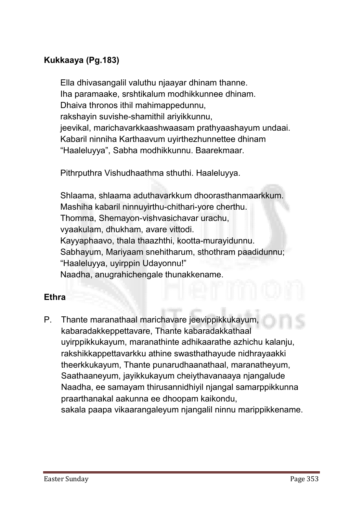# Kukkaaya (Pg.183)

**Ella dhivasangalil valuthu njaayar dhinam thanne. Iha paramaake, srshtikalum modhikkunnee dhinam. Dhaiva thronos ithil mahimappedunnu, rakshayin suvishe-shamithil ariyikkunnu, jeevikal, marichavarkkaashwaasam prathyaashayum undaai. Kabaril ninniha Karthaavum uyirthezhunnettee dhinam "Haaleluyya", Sabha modhikkunnu. Baarekmaar.**

**Pithrputhra Vishudhaathma sthuthi. Haaleluyya.**

**Shlaama, shlaama aduthavarkkum dhoorasthanmaarkkum. Mashiha kabaril ninnuyirthu-chithari-yore cherthu. Thomma, Shemayon-vishvasichavar urachu, vyaakulam, dhukham, avare vittodi. Kayyaphaavo, thala thaazhthi, kootta-murayidunnu. Sabhayum, Mariyaam snehitharum, sthothram paadidunnu; "Haaleluyya, uyirppin Udayonnu!" Naadha, anugrahichengale thunakkename.**

#### **Ethra**

**P. Thante maranathaal marichavare jeevippikkukayum, kabaradakkeppettavare, Thante kabaradakkathaal uyirppikkukayum, maranathinte adhikaarathe azhichu kalanju, rakshikkappettavarkku athine swasthathayude nidhrayaakki theerkkukayum, Thante punarudhaanathaal, maranatheyum, Saathaaneyum, jayikkukayum cheiythavanaaya njangalude Naadha, ee samayam thirusannidhiyil njangal samarppikkunna praarthanakal aakunna ee dhoopam kaikondu, sakala paapa vikaarangaleyum njangalil ninnu marippikkename.**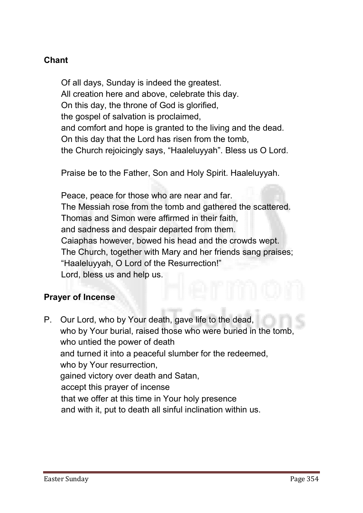# Chant

**Of all days, Sunday is indeed the greatest. All creation here and above, celebrate this day. On this day, the throne of God is glorified, the gospel of salvation is proclaimed, and comfort and hope is granted to the living and the dead. On this day that the Lord has risen from the tomb, the Church rejoicingly says, "Haaleluyyah". Bless us O Lord.**

**Praise be to the Father, Son and Holy Spirit. Haaleluyyah.**

**Peace, peace for those who are near and far. The Messiah rose from the tomb and gathered the scattered. Thomas and Simon were affirmed in their faith, and sadness and despair departed from them. Caiaphas however, bowed his head and the crowds wept. The Church, together with Mary and her friends sang praises; "Haaleluyyah, O Lord of the Resurrection!" Lord, bless us and help us.** 

#### Prayer of Incense

**P. Our Lord, who by Your death, gave life to the dead, who by Your burial, raised those who were buried in the tomb, who untied the power of death and turned it into a peaceful slumber for the redeemed, who by Your resurrection, gained victory over death and Satan, accept this prayer of incense that we offer at this time in Your holy presence and with it, put to death all sinful inclination within us.**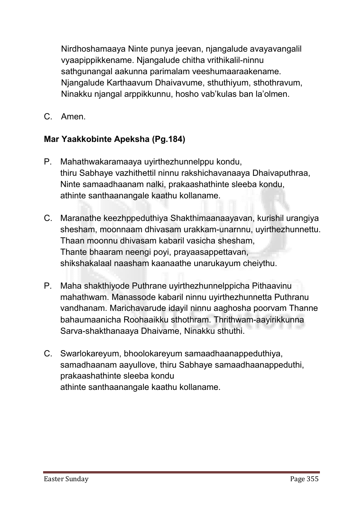**Nirdhoshamaaya Ninte punya jeevan, njangalude avayavangalil vyaapippikkename. Njangalude chitha vrithikalil-ninnu sathgunangal aakunna parimalam veeshumaaraakename. Njangalude Karthaavum Dhaivavume, sthuthiyum, sthothravum, Ninakku njangal arppikkunnu, hosho vab'kulas ban la'olmen.**

**C. Amen.** 

# Mar Yaakkobinte Apeksha (Pg.184)

- **P. Mahathwakaramaaya uyirthezhunnelppu kondu, thiru Sabhaye vazhithettil ninnu rakshichavanaaya Dhaivaputhraa, Ninte samaadhaanam nalki, prakaashathinte sleeba kondu, athinte santhaanangale kaathu kollaname.**
- **C. Maranathe keezhppeduthiya Shakthimaanaayavan, kurishil urangiya shesham, moonnaam dhivasam urakkam-unarnnu, uyirthezhunnettu. Thaan moonnu dhivasam kabaril vasicha shesham, Thante bhaaram neengi poyi, prayaasappettavan, shikshakalaal naasham kaanaathe unarukayum cheiythu.**
- **P. Maha shakthiyode Puthrane uyirthezhunnelppicha Pithaavinu mahathwam. Manassode kabaril ninnu uyirthezhunnetta Puthranu vandhanam. Marichavarude idayil ninnu aaghosha poorvam Thanne bahaumaanicha Roohaaikku sthothram. Thrithwam-aayirikkunna Sarva-shakthanaaya Dhaivame, Ninakku sthuthi.**
- **C. Swarlokareyum, bhoolokareyum samaadhaanappeduthiya, samadhaanam aayullove, thiru Sabhaye samaadhaanappeduthi, prakaashathinte sleeba kondu athinte santhaanangale kaathu kollaname.**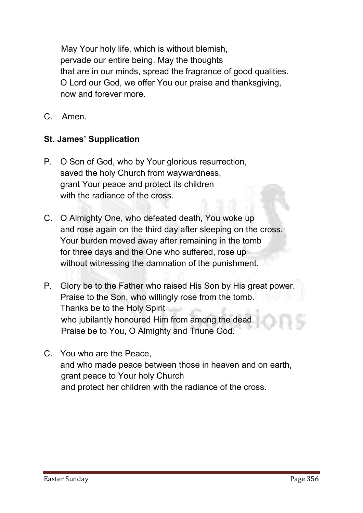**May Your holy life, which is without blemish, pervade our entire being. May the thoughts that are in our minds, spread the fragrance of good qualities. O Lord our God, we offer You our praise and thanksgiving, now and forever more.**

**C. Amen.**

#### St. James' Supplication

- **P. O Son of God, who by Your glorious resurrection, saved the holy Church from waywardness, grant Your peace and protect its children with the radiance of the cross.**
- **C. O Almighty One, who defeated death, You woke up and rose again on the third day after sleeping on the cross. Your burden moved away after remaining in the tomb for three days and the One who suffered, rose up without witnessing the damnation of the punishment.**
- **P. Glory be to the Father who raised His Son by His great power. Praise to the Son, who willingly rose from the tomb. Thanks be to the Holy Spirit who jubilantly honoured Him from among the dead. Praise be to You, O Almighty and Triune God.**
- **C. You who are the Peace, and who made peace between those in heaven and on earth, grant peace to Your holy Church and protect her children with the radiance of the cross.**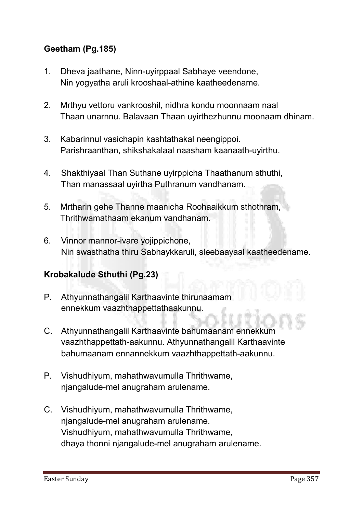# Geetham (Pg.185)

- **1. Dheva jaathane, Ninn-uyirppaal Sabhaye veendone, Nin yogyatha aruli krooshaal-athine kaatheedename.**
- **2. Mrthyu vettoru vankrooshil, nidhra kondu moonnaam naal Thaan unarnnu. Balavaan Thaan uyirthezhunnu moonaam dhinam.**
- **3. Kabarinnul vasichapin kashtathakal neengippoi. Parishraanthan, shikshakalaal naasham kaanaath-uyirthu.**
- **4. Shakthiyaal Than Suthane uyirppicha Thaathanum sthuthi, Than manassaal uyirtha Puthranum vandhanam.**
- **5. Mrtharin gehe Thanne maanicha Roohaaikkum sthothram, Thrithwamathaam ekanum vandhanam.**
- **6. Vinnor mannor-ivare yojippichone, Nin swasthatha thiru Sabhaykkaruli, sleebaayaal kaatheedename.**

#### Krobakalude Sthuthi (Pg.23)

- **P. Athyunnathangalil Karthaavinte thirunaamam ennekkum vaazhthappettathaakunnu.**
- **C. Athyunnathangalil Karthaavinte bahumaanam ennekkum vaazhthappettath-aakunnu. Athyunnathangalil Karthaavinte bahumaanam ennannekkum vaazhthappettath-aakunnu.**
- **P. Vishudhiyum, mahathwavumulla Thrithwame, njangalude-mel anugraham arulename.**
- **C. Vishudhiyum, mahathwavumulla Thrithwame, njangalude-mel anugraham arulename. Vishudhiyum, mahathwavumulla Thrithwame, dhaya thonni njangalude-mel anugraham arulename.**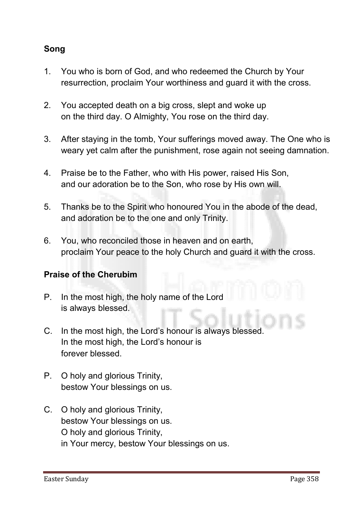## Song

- **1. You who is born of God, and who redeemed the Church by Your resurrection, proclaim Your worthiness and guard it with the cross.**
- **2. You accepted death on a big cross, slept and woke up on the third day. O Almighty, You rose on the third day.**
- **3. After staying in the tomb, Your sufferings moved away. The One who is weary yet calm after the punishment, rose again not seeing damnation.**
- **4. Praise be to the Father, who with His power, raised His Son, and our adoration be to the Son, who rose by His own will.**
- **5. Thanks be to the Spirit who honoured You in the abode of the dead, and adoration be to the one and only Trinity.**
- **6. You, who reconciled those in heaven and on earth, proclaim Your peace to the holy Church and guard it with the cross.**

#### Praise of the Cherubim

- **P. In the most high, the holy name of the Lord is always blessed.**
- **C. In the most high, the Lord's honour is always blessed. In the most high, the Lord's honour is forever blessed.**
- **P. O holy and glorious Trinity, bestow Your blessings on us.**
- **C. O holy and glorious Trinity, bestow Your blessings on us. O holy and glorious Trinity, in Your mercy, bestow Your blessings on us.**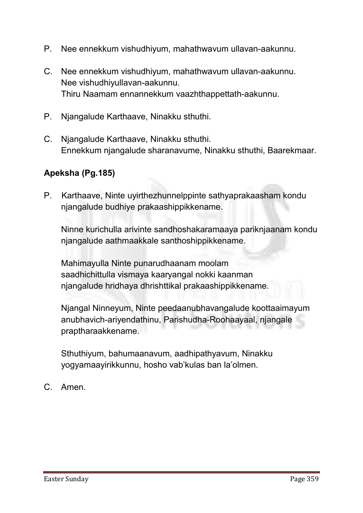- **P. Nee ennekkum vishudhiyum, mahathwavum ullavan-aakunnu.**
- **C. Nee ennekkum vishudhiyum, mahathwavum ullavan-aakunnu. Nee vishudhiyullavan-aakunnu. Thiru Naamam ennannekkum vaazhthappettath-aakunnu.**
- **P. Njangalude Karthaave, Ninakku sthuthi.**
- **C. Njangalude Karthaave, Ninakku sthuthi. Ennekkum njangalude sharanavume, Ninakku sthuthi, Baarekmaar.**

#### Apeksha (Pg.185)

**P. Karthaave, Ninte uyirthezhunnelppinte sathyaprakaasham kondu njangalude budhiye prakaashippikkename.** 

**Ninne kurichulla arivinte sandhoshakaramaaya pariknjaanam kondu njangalude aathmaakkale santhoshippikkename.**

**Mahimayulla Ninte punarudhaanam moolam saadhichittulla vismaya kaaryangal nokki kaanman njangalude hridhaya dhrishttikal prakaashippikkename.** 

**Njangal Ninneyum, Ninte peedaanubhavangalude koottaaimayum anubhavich-ariyendathinu, Parishudha-Roohaayaal, njangale praptharaakkename.** 

**Sthuthiyum, bahumaanavum, aadhipathyavum, Ninakku yogyamaayirikkunnu, hosho vab'kulas ban la'olmen.**

**C. Amen.**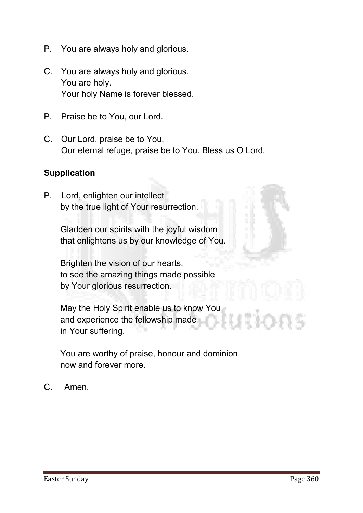- **P. You are always holy and glorious.**
- **C. You are always holy and glorious. You are holy. Your holy Name is forever blessed.**
- **P. Praise be to You, our Lord.**
- **C. Our Lord, praise be to You, Our eternal refuge, praise be to You. Bless us O Lord.**

#### **Supplication**

**P. Lord, enlighten our intellect by the true light of Your resurrection.** 

> **Gladden our spirits with the joyful wisdom that enlightens us by our knowledge of You.**

**Brighten the vision of our hearts, to see the amazing things made possible by Your glorious resurrection.**

**May the Holy Spirit enable us to know You and experience the fellowship made in Your suffering.**

**You are worthy of praise, honour and dominion now and forever more.**

**C. Amen.**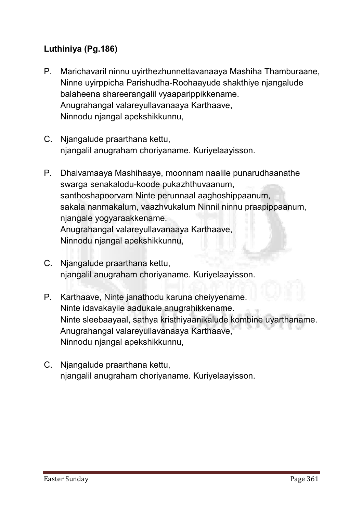# Luthiniya (Pg.186)

- **P. Marichavaril ninnu uyirthezhunnettavanaaya Mashiha Thamburaane, Ninne uyirppicha Parishudha-Roohaayude shakthiye njangalude balaheena shareerangalil vyaaparippikkename. Anugrahangal valareyullavanaaya Karthaave, Ninnodu njangal apekshikkunnu,**
- **C. Njangalude praarthana kettu, njangalil anugraham choriyaname. Kuriyelaayisson.**
- **P. Dhaivamaaya Mashihaaye, moonnam naalile punarudhaanathe swarga senakalodu-koode pukazhthuvaanum, santhoshapoorvam Ninte perunnaal aaghoshippaanum, sakala nanmakalum, vaazhvukalum Ninnil ninnu praapippaanum, njangale yogyaraakkename. Anugrahangal valareyullavanaaya Karthaave, Ninnodu njangal apekshikkunnu,**
- **C. Njangalude praarthana kettu, njangalil anugraham choriyaname. Kuriyelaayisson.**
- **P. Karthaave, Ninte janathodu karuna cheiyyename. Ninte idavakayile aadukale anugrahikkename. Ninte sleebaayaal, sathya kristhiyaanikalude kombine uyarthaname. Anugrahangal valareyullavanaaya Karthaave, Ninnodu njangal apekshikkunnu,**
- **C. Njangalude praarthana kettu, njangalil anugraham choriyaname. Kuriyelaayisson.**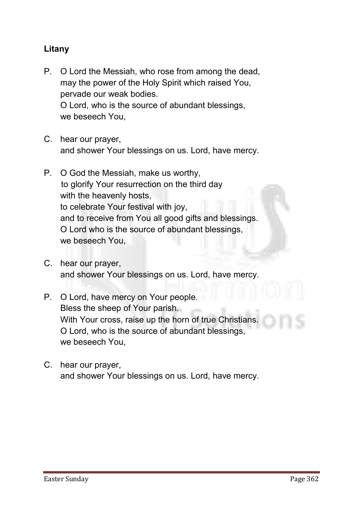#### Litany

- **P. O Lord the Messiah, who rose from among the dead, may the power of the Holy Spirit which raised You, pervade our weak bodies. O Lord, who is the source of abundant blessings, we beseech You,**
- **C. hear our prayer, and shower Your blessings on us. Lord, have mercy.**
- **P. O God the Messiah, make us worthy, to glorify Your resurrection on the third day with the heavenly hosts, to celebrate Your festival with joy, and to receive from You all good gifts and blessings. O Lord who is the source of abundant blessings, we beseech You,**
- **C. hear our prayer, and shower Your blessings on us. Lord, have mercy.**
- **P. O Lord, have mercy on Your people. Bless the sheep of Your parish. With Your cross, raise up the horn of true Christians. O Lord, who is the source of abundant blessings, we beseech You,**
- **C. hear our prayer, and shower Your blessings on us. Lord, have mercy.**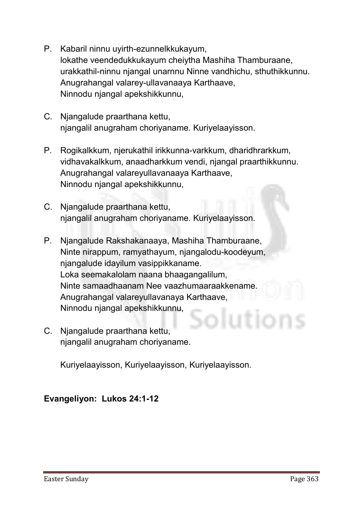- **P. Kabaril ninnu uyirth-ezunnelkkukayum, lokathe veendedukkukayum cheiytha Mashiha Thamburaane, urakkathil-ninnu njangal unarnnu Ninne vandhichu, sthuthikkunnu. Anugrahangal valarey-ullavanaaya Karthaave, Ninnodu njangal apekshikkunnu,**
- **C. Njangalude praarthana kettu, njangalil anugraham choriyaname. Kuriyelaayisson.**
- **P. Rogikalkkum, njerukathil irikkunna-varkkum, dharidhrarkkum, vidhavakalkkum, anaadharkkum vendi, njangal praarthikkunnu. Anugrahangal valareyullavanaaya Karthaave, Ninnodu njangal apekshikkunnu,**
- **C. Njangalude praarthana kettu, njangalil anugraham choriyaname. Kuriyelaayisson.**
- **P. Njangalude Rakshakanaaya, Mashiha Thamburaane, Ninte nirappum, ramyathayum, njangalodu-koodeyum, njangalude idayilum vasippikkaname. Loka seemakalolam naana bhaagangalilum, Ninte samaadhaanam Nee vaazhumaaraakkename. Anugrahangal valareyullavanaya Karthaave, Ninnodu njangal apekshikkunnu,**
- **C. Njangalude praarthana kettu, njangalil anugraham choriyaname.**

**Kuriyelaayisson, Kuriyelaayisson, Kuriyelaayisson.**

Evangeliyon: Lukos 24:1-12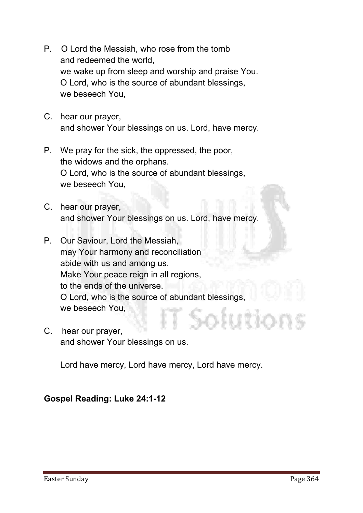- **P. O Lord the Messiah, who rose from the tomb and redeemed the world, we wake up from sleep and worship and praise You. O Lord, who is the source of abundant blessings, we beseech You,**
- **C. hear our prayer, and shower Your blessings on us. Lord, have mercy.**
- **P. We pray for the sick, the oppressed, the poor, the widows and the orphans. O Lord, who is the source of abundant blessings, we beseech You,**
- **C. hear our prayer, and shower Your blessings on us. Lord, have mercy.**
- **P. Our Saviour, Lord the Messiah, may Your harmony and reconciliation abide with us and among us. Make Your peace reign in all regions, to the ends of the universe. O Lord, who is the source of abundant blessings, we beseech You,**
- **C. hear our prayer, and shower Your blessings on us.**

**Lord have mercy, Lord have mercy, Lord have mercy.**

# Gospel Reading: Luke 24:1-12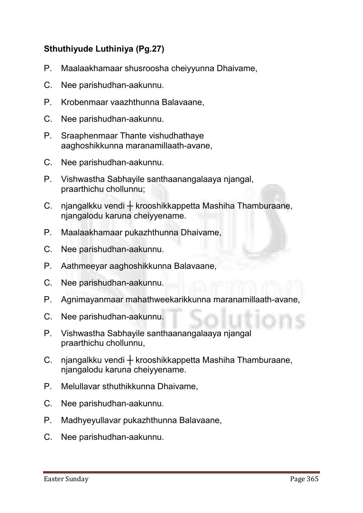# Sthuthiyude Luthiniya (Pg.27)

- **P. Maalaakhamaar shusroosha cheiyyunna Dhaivame,**
- **C. Nee parishudhan-aakunnu.**
- **P. Krobenmaar vaazhthunna Balavaane,**
- **C. Nee parishudhan-aakunnu.**
- **P. Sraaphenmaar Thante vishudhathaye aaghoshikkunna maranamillaath-avane,**
- **C. Nee parishudhan-aakunnu.**
- **P. Vishwastha Sabhayile santhaanangalaaya njangal, praarthichu chollunnu;**
- **C. njangalkku vendi ┼ krooshikkappetta Mashiha Thamburaane, njangalodu karuna cheiyyename.**
- **P. Maalaakhamaar pukazhthunna Dhaivame,**
- **C. Nee parishudhan-aakunnu.**
- **P. Aathmeeyar aaghoshikkunna Balavaane,**
- **C. Nee parishudhan-aakunnu.**
- **P. Agnimayanmaar mahathweekarikkunna maranamillaath-avane,**
- **C. Nee parishudhan-aakunnu.**
- **P. Vishwastha Sabhayile santhaanangalaaya njangal praarthichu chollunnu,**
- **C. njangalkku vendi ┼ krooshikkappetta Mashiha Thamburaane, njangalodu karuna cheiyyename.**
- **P. Melullavar sthuthikkunna Dhaivame,**
- **C. Nee parishudhan-aakunnu.**
- **P. Madhyeyullavar pukazhthunna Balavaane,**
- **C. Nee parishudhan-aakunnu.**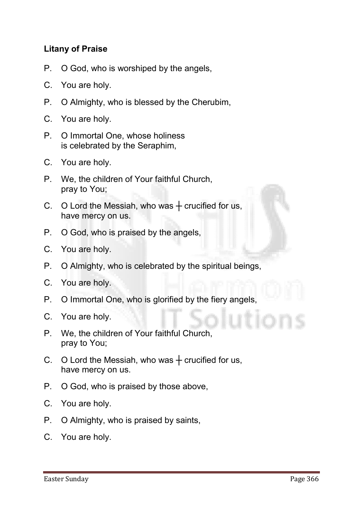#### Litany of Praise

- **P. O God, who is worshiped by the angels,**
- **C. You are holy.**
- **P. O Almighty, who is blessed by the Cherubim,**
- **C. You are holy.**
- **P. O Immortal One, whose holiness is celebrated by the Seraphim,**
- **C. You are holy.**
- **P. We, the children of Your faithful Church, pray to You;**
- **C. O Lord the Messiah, who was ┼ crucified for us, have mercy on us.**
- **P. O God, who is praised by the angels,**
- **C. You are holy.**
- **P. O Almighty, who is celebrated by the spiritual beings,**
- **C. You are holy.**
- **P. O Immortal One, who is glorified by the fiery angels,**
- **C. You are holy.**
- **P. We, the children of Your faithful Church, pray to You;**
- **C. O Lord the Messiah, who was ┼ crucified for us, have mercy on us.**
- **P. O God, who is praised by those above,**
- **C. You are holy.**
- **P. O Almighty, who is praised by saints,**
- **C. You are holy.**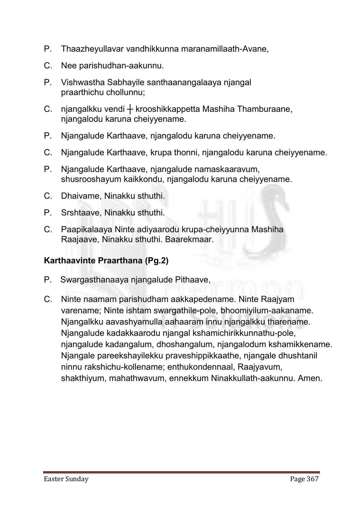- **P. Thaazheyullavar vandhikkunna maranamillaath-Avane,**
- **C. Nee parishudhan-aakunnu.**
- **P. Vishwastha Sabhayile santhaanangalaaya njangal praarthichu chollunnu;**
- **C. njangalkku vendi ┼ krooshikkappetta Mashiha Thamburaane, njangalodu karuna cheiyyename.**
- **P. Njangalude Karthaave, njangalodu karuna cheiyyename.**
- **C. Njangalude Karthaave, krupa thonni, njangalodu karuna cheiyyename.**
- **P. Njangalude Karthaave, njangalude namaskaaravum, shusrooshayum kaikkondu, njangalodu karuna cheiyyename.**
- **C. Dhaivame, Ninakku sthuthi.**
- **P. Srshtaave, Ninakku sthuthi.**
- **C. Paapikalaaya Ninte adiyaarodu krupa-cheiyyunna Mashiha Raajaave, Ninakku sthuthi. Baarekmaar.**

#### Karthaavinte Praarthana (Pg.2)

- **P. Swargasthanaaya njangalude Pithaave,**
- **C. Ninte naamam parishudham aakkapedename. Ninte Raajyam varename; Ninte ishtam swargathile-pole, bhoomiyilum-aakaname. Njangalkku aavashyamulla aahaaram innu njangalkku tharename. Njangalude kadakkaarodu njangal kshamichirikkunnathu-pole, njangalude kadangalum, dhoshangalum, njangalodum kshamikkename. Njangale pareekshayilekku praveshippikkaathe, njangale dhushtanil ninnu rakshichu-kollename; enthukondennaal, Raajyavum, shakthiyum, mahathwavum, ennekkum Ninakkullath-aakunnu. Amen.**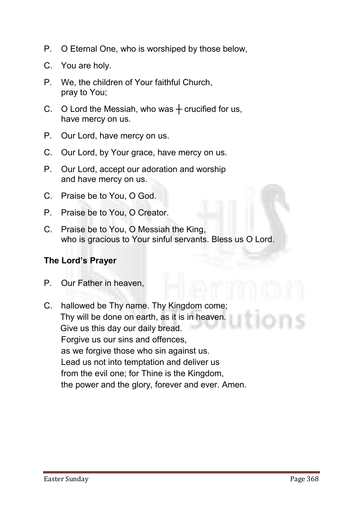- **P. O Eternal One, who is worshiped by those below,**
- **C. You are holy.**
- **P. We, the children of Your faithful Church, pray to You;**
- **C. O Lord the Messiah, who was ┼ crucified for us, have mercy on us.**
- **P. Our Lord, have mercy on us.**
- **C. Our Lord, by Your grace, have mercy on us.**
- **P. Our Lord, accept our adoration and worship and have mercy on us.**
- **C. Praise be to You, O God.**
- **P. Praise be to You, O Creator.**
- **C. Praise be to You, O Messiah the King, who is gracious to Your sinful servants. Bless us O Lord.**

#### The Lord's Prayer

- **P. Our Father in heaven,**
- **C. hallowed be Thy name. Thy Kingdom come; Thy will be done on earth, as it is in heaven. Give us this day our daily bread. Forgive us our sins and offences, as we forgive those who sin against us. Lead us not into temptation and deliver us from the evil one; for Thine is the Kingdom, the power and the glory, forever and ever. Amen.**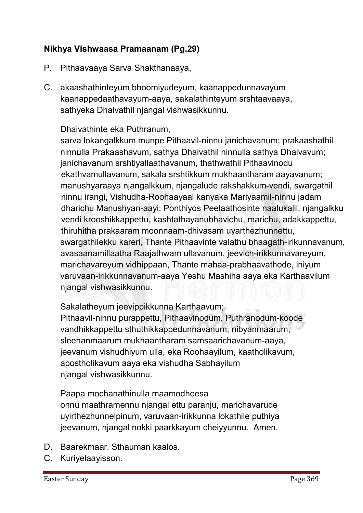## Nikhya Vishwaasa Pramaanam (Pg.29)

- **P. Pithaavaaya Sarva Shakthanaaya,**
- **C. akaashathinteyum bhoomiyudeyum, kaanappedunnavayum kaanappedaathavayum-aaya, sakalathinteyum srshtaavaaya, sathyeka Dhaivathil njangal vishwasikkunnu.**

#### **Dhaivathinte eka Puthranum,**

**sarva lokangalkkum munpe Pithaavil-ninnu janichavanum; prakaashathil ninnulla Prakaashavum, sathya Dhaivathil ninnulla sathya Dhaivavum; janichavanum srshtiyallaathavanum, thathwathil Pithaavinodu ekathvamullavanum, sakala srshtikkum mukhaantharam aayavanum; manushyaraaya njangalkkum, njangalude rakshakkum-vendi, swargathil ninnu irangi, Vishudha-Roohaayaal kanyaka Mariyaamil-ninnu jadam dharichu Manushyan-aayi; Ponthiyos Peelaathosinte naalukalil, njangalkku vendi krooshikkappettu, kashtathayanubhavichu, marichu, adakkappettu, thiruhitha prakaaram moonnaam-dhivasam uyarthezhunnettu, swargathilekku kareri, Thante Pithaavinte valathu bhaagath-irikunnavanum, avasaanamillaatha Raajathwam ullavanum, jeevich-irikkunnavareyum, marichavareyum vidhippaan, Thante mahaa-prabhaavathode, iniyum varuvaan-irikkunnavanum-aaya Yeshu Mashiha aaya eka Karthaavilum njangal vishwasikkunnu.**

**Sakalatheyum jeevippikkunna Karthaavum;**

**Pithaavil-ninnu purappettu, Pithaavinodum, Puthranodum-koode vandhikkappettu sthuthikkappedunnavanum; nibyanmaarum, sleehanmaarum mukhaantharam samsaarichavanum-aaya, jeevanum vishudhiyum ulla, eka Roohaayilum, kaatholikavum, apostholikavum aaya eka vishudha Sabhayilum njangal vishwasikkunnu.**

**Paapa mochanathinulla maamodheesa onnu maathramennu njangal ettu paranju, marichavarude uyirthezhunnelpinum, varuvaan-irikkunna lokathile puthiya jeevanum, njangal nokki paarkkayum cheiyyunnu. Amen.**

- **D. Baarekmaar. Sthauman kaalos.**
- **C. Kuriyelaayisson.**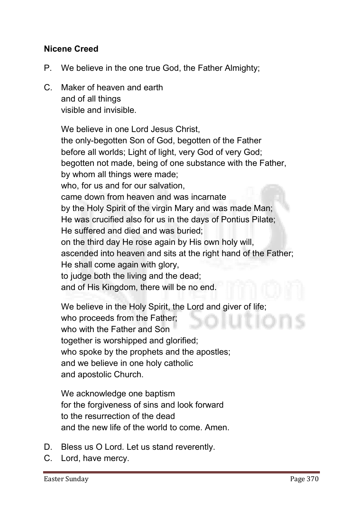#### Nicene Creed

- **P. We believe in the one true God, the Father Almighty;**
- **C. Maker of heaven and earth and of all things visible and invisible.**

**We believe in one Lord Jesus Christ, the only-begotten Son of God, begotten of the Father before all worlds; Light of light, very God of very God; begotten not made, being of one substance with the Father, by whom all things were made; who, for us and for our salvation, came down from heaven and was incarnate by the Holy Spirit of the virgin Mary and was made Man; He was crucified also for us in the days of Pontius Pilate; He suffered and died and was buried; on the third day He rose again by His own holy will, ascended into heaven and sits at the right hand of the Father; He shall come again with glory, to judge both the living and the dead; and of His Kingdom, there will be no end.** 

**We believe in the Holy Spirit, the Lord and giver of life; who proceeds from the Father; who with the Father and Son together is worshipped and glorified; who spoke by the prophets and the apostles; and we believe in one holy catholic and apostolic Church.**

**We acknowledge one baptism for the forgiveness of sins and look forward to the resurrection of the dead and the new life of the world to come. Amen.** 

- **D. Bless us O Lord. Let us stand reverently.**
- **C. Lord, have mercy.**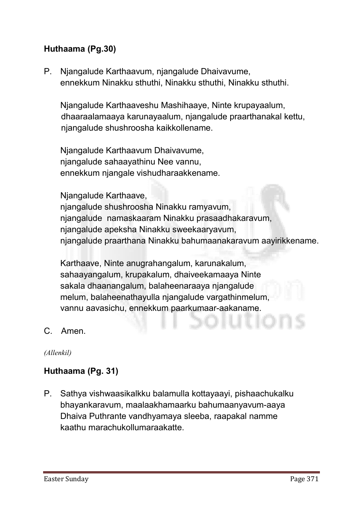# Huthaama (Pg.30)

**P. Njangalude Karthaavum, njangalude Dhaivavume, ennekkum Ninakku sthuthi, Ninakku sthuthi, Ninakku sthuthi.**

**Njangalude Karthaaveshu Mashihaaye, Ninte krupayaalum, dhaaraalamaaya karunayaalum, njangalude praarthanakal kettu, njangalude shushroosha kaikkollename.**

**Njangalude Karthaavum Dhaivavume, njangalude sahaayathinu Nee vannu, ennekkum njangale vishudharaakkename.** 

**Njangalude Karthaave,** 

**njangalude shushroosha Ninakku ramyavum, njangalude namaskaaram Ninakku prasaadhakaravum, njangalude apeksha Ninakku sweekaaryavum, njangalude praarthana Ninakku bahumaanakaravum aayirikkename.** 

**Karthaave, Ninte anugrahangalum, karunakalum, sahaayangalum, krupakalum, dhaiveekamaaya Ninte sakala dhaanangalum, balaheenaraaya njangalude melum, balaheenathayulla njangalude vargathinmelum, vannu aavasichu, ennekkum paarkumaar-aakaname.**

**C. Amen.**

*(Allenkil)*

#### Huthaama (Pg. 31)

**P. Sathya vishwaasikalkku balamulla kottayaayi, pishaachukalku bhayankaravum, maalaakhamaarku bahumaanyavum-aaya Dhaiva Puthrante vandhyamaya sleeba, raapakal namme kaathu marachukollumaraakatte.**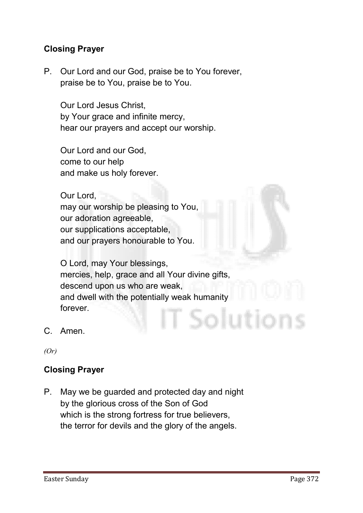#### Closing Prayer

**P. Our Lord and our God, praise be to You forever, praise be to You, praise be to You.**

**Our Lord Jesus Christ, by Your grace and infinite mercy, hear our prayers and accept our worship.** 

**Our Lord and our God, come to our help and make us holy forever.** 

**Our Lord, may our worship be pleasing to You, our adoration agreeable, our supplications acceptable, and our prayers honourable to You.** 

**O Lord, may Your blessings, mercies, help, grace and all Your divine gifts, descend upon us who are weak, and dwell with the potentially weak humanity forever.** Solution

**C. Amen.**

*(Or)*

#### Closing Prayer

**P. May we be guarded and protected day and night by the glorious cross of the Son of God which is the strong fortress for true believers, the terror for devils and the glory of the angels.**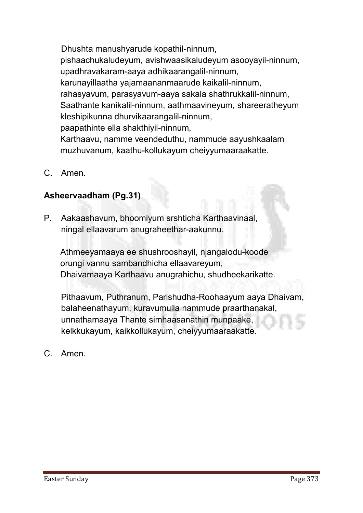**Dhushta manushyarude kopathil-ninnum, pishaachukaludeyum, avishwaasikaludeyum asooyayil-ninnum, upadhravakaram-aaya adhikaarangalil-ninnum, karunayillaatha yajamaananmaarude kaikalil-ninnum, rahasyavum, parasyavum-aaya sakala shathrukkalil-ninnum, Saathante kanikalil-ninnum, aathmaavineyum, shareeratheyum kleshipikunna dhurvikaarangalil-ninnum, paapathinte ella shakthiyil-ninnum, Karthaavu, namme veendeduthu, nammude aayushkaalam muzhuvanum, kaathu-kollukayum cheiyyumaaraakatte.**

**C. Amen.**

# Asheervaadham (Pg.31)

**P. Aakaashavum, bhoomiyum srshticha Karthaavinaal, ningal ellaavarum anugraheethar-aakunnu.**

**Athmeeyamaaya ee shushrooshayil, njangalodu-koode orungi vannu sambandhicha ellaavareyum, Dhaivamaaya Karthaavu anugrahichu, shudheekarikatte.**

**Pithaavum, Puthranum, Parishudha-Roohaayum aaya Dhaivam, balaheenathayum, kuravumulla nammude praarthanakal, unnathamaaya Thante simhaasanathin munpaake, kelkkukayum, kaikkollukayum, cheiyyumaaraakatte.**

**C. Amen.**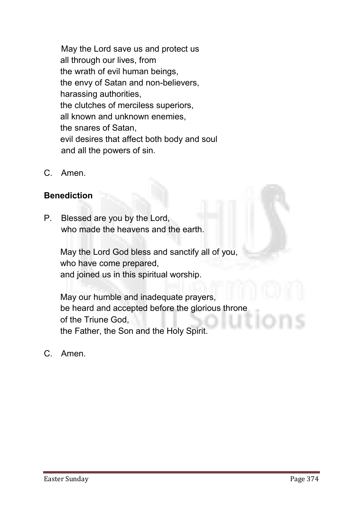**May the Lord save us and protect us all through our lives, from the wrath of evil human beings, the envy of Satan and non-believers, harassing authorities, the clutches of merciless superiors, all known and unknown enemies, the snares of Satan, evil desires that affect both body and soul and all the powers of sin.**

**C. Amen.**

#### Benediction

**P. Blessed are you by the Lord, who made the heavens and the earth.** 

> **May the Lord God bless and sanctify all of you, who have come prepared, and joined us in this spiritual worship.**

**May our humble and inadequate prayers, be heard and accepted before the glorious throne of the Triune God, the Father, the Son and the Holy Spirit.**

**C. Amen.**